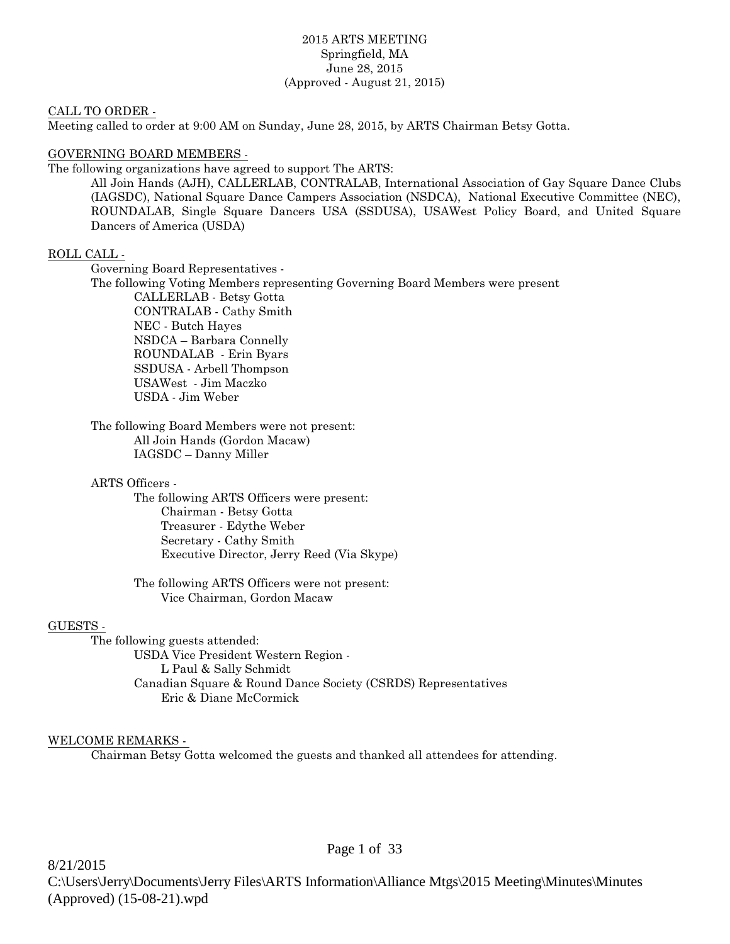## 2015 ARTS MEETING Springfield, MA June 28, 2015 (Approved - August 21, 2015)

### CALL TO ORDER -

Meeting called to order at 9:00 AM on Sunday, June 28, 2015, by ARTS Chairman Betsy Gotta.

# GOVERNING BOARD MEMBERS -

The following organizations have agreed to support The ARTS:

All Join Hands (AJH), CALLERLAB, CONTRALAB, International Association of Gay Square Dance Clubs (IAGSDC), National Square Dance Campers Association (NSDCA), National Executive Committee (NEC), ROUNDALAB, Single Square Dancers USA (SSDUSA), USAWest Policy Board, and United Square Dancers of America (USDA)

# ROLL CALL -

Governing Board Representatives -

The following Voting Members representing Governing Board Members were present CALLERLAB - Betsy Gotta CONTRALAB - Cathy Smith NEC - Butch Hayes NSDCA – Barbara Connelly ROUNDALAB - Erin Byars SSDUSA - Arbell Thompson USAWest - Jim Maczko USDA - Jim Weber

The following Board Members were not present: All Join Hands (Gordon Macaw) IAGSDC – Danny Miller

### ARTS Officers -

The following ARTS Officers were present: Chairman - Betsy Gotta Treasurer - Edythe Weber Secretary - Cathy Smith Executive Director, Jerry Reed (Via Skype)

The following ARTS Officers were not present: Vice Chairman, Gordon Macaw

# GUESTS -

The following guests attended: USDA Vice President Western Region - L Paul & Sally Schmidt Canadian Square & Round Dance Society (CSRDS) Representatives Eric & Diane McCormick

# WELCOME REMARKS -

Chairman Betsy Gotta welcomed the guests and thanked all attendees for attending.

Page 1 of 33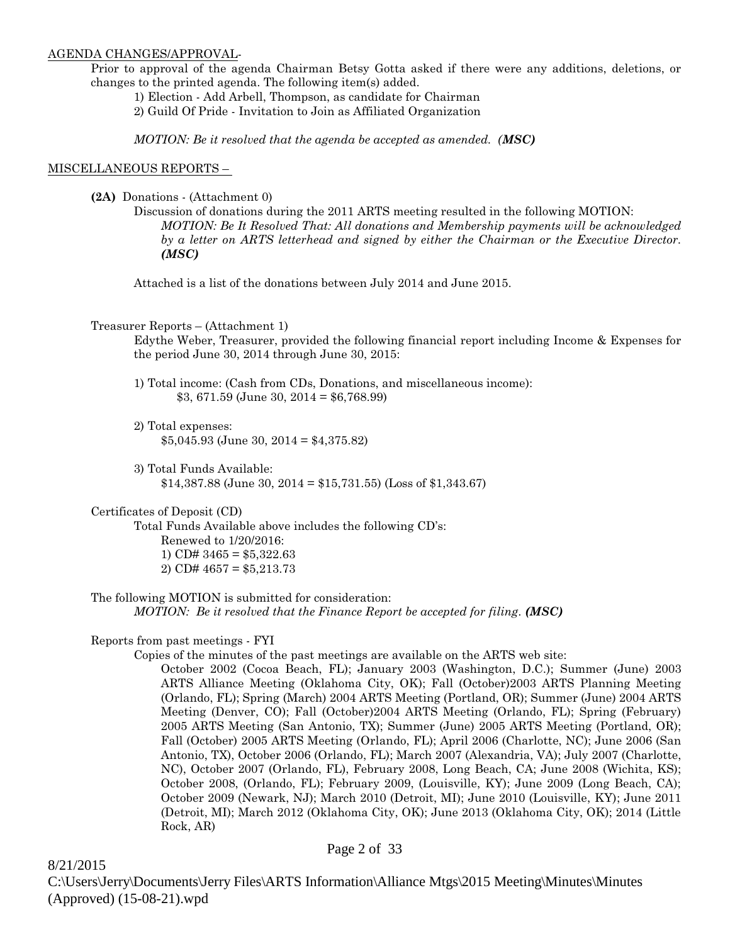### AGENDA CHANGES/APPROVAL-

Prior to approval of the agenda Chairman Betsy Gotta asked if there were any additions, deletions, or changes to the printed agenda. The following item(s) added.

1) Election - Add Arbell, Thompson, as candidate for Chairman

2) Guild Of Pride - Invitation to Join as Affiliated Organization

*MOTION: Be it resolved that the agenda be accepted as amended. (MSC)*

### MISCELLANEOUS REPORTS –

**(2A)** Donations - (Attachment 0)

Discussion of donations during the 2011 ARTS meeting resulted in the following MOTION: *MOTION: Be It Resolved That: All donations and Membership payments will be acknowledged by a letter on ARTS letterhead and signed by either the Chairman or the Executive Director. (MSC)*

Attached is a list of the donations between July 2014 and June 2015.

### Treasurer Reports – (Attachment 1)

Edythe Weber, Treasurer, provided the following financial report including Income & Expenses for the period June 30, 2014 through June 30, 2015:

- 1) Total income: (Cash from CDs, Donations, and miscellaneous income): \$3, 671.59 (June 30, 2014 = \$6,768.99)
- 2) Total expenses: \$5,045.93 (June 30, 2014 = \$4,375.82)
- 3) Total Funds Available: \$14,387.88 (June 30, 2014 = \$15,731.55) (Loss of \$1,343.67)

# Certificates of Deposit (CD)

Total Funds Available above includes the following CD's: Renewed to 1/20/2016: 1) CD#  $3465 = $5,322.63$ 2) CD#  $4657 = $5,213.73$ 

The following MOTION is submitted for consideration: *MOTION: Be it resolved that the Finance Report be accepted for filing. (MSC)*

### Reports from past meetings - FYI

Copies of the minutes of the past meetings are available on the ARTS web site:

October 2002 (Cocoa Beach, FL); January 2003 (Washington, D.C.); Summer (June) 2003 ARTS Alliance Meeting (Oklahoma City, OK); Fall (October)2003 ARTS Planning Meeting (Orlando, FL); Spring (March) 2004 ARTS Meeting (Portland, OR); Summer (June) 2004 ARTS Meeting (Denver, CO); Fall (October)2004 ARTS Meeting (Orlando, FL); Spring (February) 2005 ARTS Meeting (San Antonio, TX); Summer (June) 2005 ARTS Meeting (Portland, OR); Fall (October) 2005 ARTS Meeting (Orlando, FL); April 2006 (Charlotte, NC); June 2006 (San Antonio, TX), October 2006 (Orlando, FL); March 2007 (Alexandria, VA); July 2007 (Charlotte, NC), October 2007 (Orlando, FL), February 2008, Long Beach, CA; June 2008 (Wichita, KS); October 2008, (Orlando, FL); February 2009, (Louisville, KY); June 2009 (Long Beach, CA); October 2009 (Newark, NJ); March 2010 (Detroit, MI); June 2010 (Louisville, KY); June 2011 (Detroit, MI); March 2012 (Oklahoma City, OK); June 2013 (Oklahoma City, OK); 2014 (Little Rock, AR)

8/21/2015 C:\Users\Jerry\Documents\Jerry Files\ARTS Information\Alliance Mtgs\2015 Meeting\Minutes\Minutes (Approved) (15-08-21).wpd

# Page 2 of 33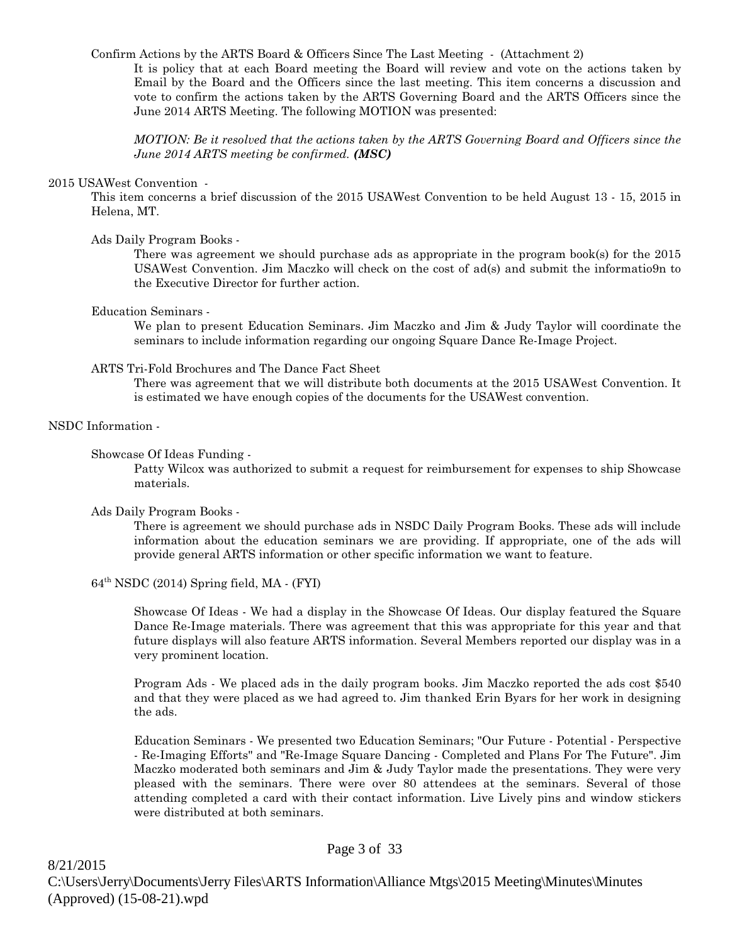Confirm Actions by the ARTS Board & Officers Since The Last Meeting - (Attachment 2)

It is policy that at each Board meeting the Board will review and vote on the actions taken by Email by the Board and the Officers since the last meeting. This item concerns a discussion and vote to confirm the actions taken by the ARTS Governing Board and the ARTS Officers since the June 2014 ARTS Meeting. The following MOTION was presented:

*MOTION: Be it resolved that the actions taken by the ARTS Governing Board and Officers since the June 2014 ARTS meeting be confirmed. (MSC)*

### 2015 USAWest Convention -

This item concerns a brief discussion of the 2015 USAWest Convention to be held August 13 - 15, 2015 in Helena, MT.

### Ads Daily Program Books -

There was agreement we should purchase ads as appropriate in the program book(s) for the 2015 USAWest Convention. Jim Maczko will check on the cost of ad(s) and submit the informatio9n to the Executive Director for further action.

### Education Seminars -

We plan to present Education Seminars. Jim Maczko and Jim & Judy Taylor will coordinate the seminars to include information regarding our ongoing Square Dance Re-Image Project.

### ARTS Tri-Fold Brochures and The Dance Fact Sheet

There was agreement that we will distribute both documents at the 2015 USAWest Convention. It is estimated we have enough copies of the documents for the USAWest convention.

# NSDC Information -

### Showcase Of Ideas Funding -

Patty Wilcox was authorized to submit a request for reimbursement for expenses to ship Showcase materials.

### Ads Daily Program Books -

There is agreement we should purchase ads in NSDC Daily Program Books. These ads will include information about the education seminars we are providing. If appropriate, one of the ads will provide general ARTS information or other specific information we want to feature.

# $64<sup>th</sup> NSDC (2014)$  Spring field, MA  $\cdot$  (FYI)

Showcase Of Ideas - We had a display in the Showcase Of Ideas. Our display featured the Square Dance Re-Image materials. There was agreement that this was appropriate for this year and that future displays will also feature ARTS information. Several Members reported our display was in a very prominent location.

Program Ads - We placed ads in the daily program books. Jim Maczko reported the ads cost \$540 and that they were placed as we had agreed to. Jim thanked Erin Byars for her work in designing the ads.

Education Seminars - We presented two Education Seminars; "Our Future - Potential - Perspective - Re-Imaging Efforts" and "Re-Image Square Dancing - Completed and Plans For The Future". Jim Maczko moderated both seminars and Jim & Judy Taylor made the presentations. They were very pleased with the seminars. There were over 80 attendees at the seminars. Several of those attending completed a card with their contact information. Live Lively pins and window stickers were distributed at both seminars.

### Page 3 of 33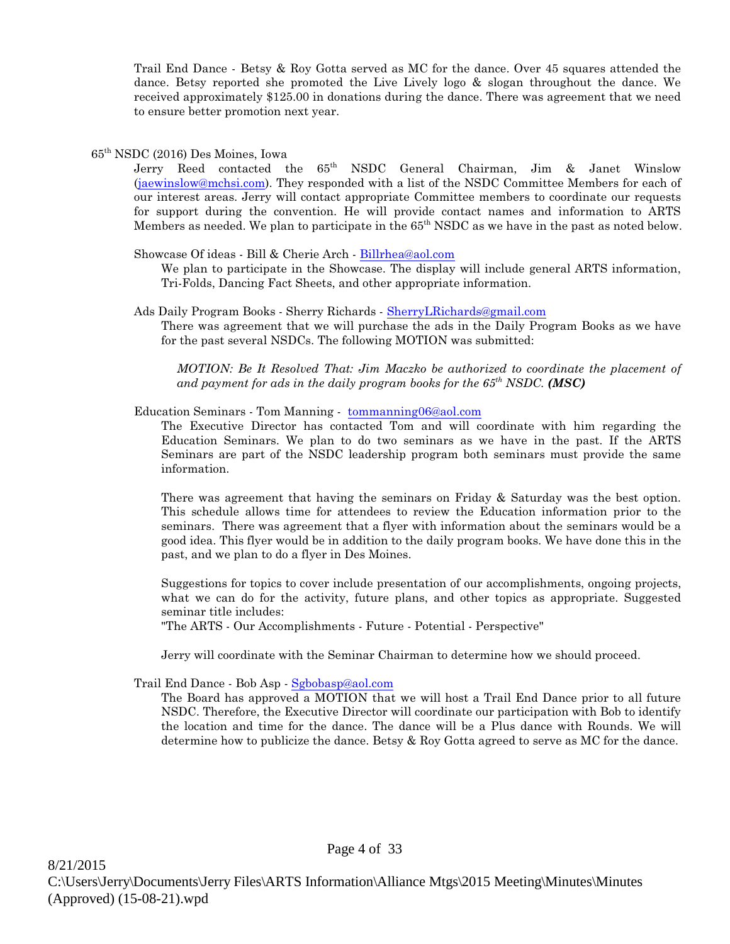Trail End Dance - Betsy & Roy Gotta served as MC for the dance. Over 45 squares attended the dance. Betsy reported she promoted the Live Lively logo & slogan throughout the dance. We received approximately \$125.00 in donations during the dance. There was agreement that we need to ensure better promotion next year.

# 65th NSDC (2016) Des Moines, Iowa

Jerry Reed contacted the 65<sup>th</sup> NSDC General Chairman, Jim & Janet Winslow [\(jaewinslow@mchsi.com](mailto:jaewinslow@mchsi.com)). They responded with a list of the NSDC Committee Members for each of our interest areas. Jerry will contact appropriate Committee members to coordinate our requests for support during the convention. He will provide contact names and information to ARTS Members as needed. We plan to participate in the 65<sup>th</sup> NSDC as we have in the past as noted below.

Showcase Of ideas - Bill & Cherie Arch - [Billrhea@aol.com](mailto:Billrhea@aol.com)

We plan to participate in the Showcase. The display will include general ARTS information, Tri-Folds, Dancing Fact Sheets, and other appropriate information.

Ads Daily Program Books - Sherry Richards - [SherryLRichards@gmail.com](mailto:SherryLRichards@gmail.com)

There was agreement that we will purchase the ads in the Daily Program Books as we have for the past several NSDCs. The following MOTION was submitted:

*MOTION: Be It Resolved That: Jim Maczko be authorized to coordinate the placement of and payment for ads in the daily program books for the 65th NSDC. (MSC)* 

Education Seminars - Tom Manning - [tommanning06@aol.com](mailto:tommanning06@aol.com)

The Executive Director has contacted Tom and will coordinate with him regarding the Education Seminars. We plan to do two seminars as we have in the past. If the ARTS Seminars are part of the NSDC leadership program both seminars must provide the same information.

There was agreement that having the seminars on Friday & Saturday was the best option. This schedule allows time for attendees to review the Education information prior to the seminars. There was agreement that a flyer with information about the seminars would be a good idea. This flyer would be in addition to the daily program books. We have done this in the past, and we plan to do a flyer in Des Moines.

Suggestions for topics to cover include presentation of our accomplishments, ongoing projects, what we can do for the activity, future plans, and other topics as appropriate. Suggested seminar title includes:

"The ARTS - Our Accomplishments - Future - Potential - Perspective"

Jerry will coordinate with the Seminar Chairman to determine how we should proceed.

Trail End Dance - Bob Asp - [Sgbobasp@aol.com](mailto:Sgbobasp@aol.com)

The Board has approved a MOTION that we will host a Trail End Dance prior to all future NSDC. Therefore, the Executive Director will coordinate our participation with Bob to identify the location and time for the dance. The dance will be a Plus dance with Rounds. We will determine how to publicize the dance. Betsy & Roy Gotta agreed to serve as MC for the dance.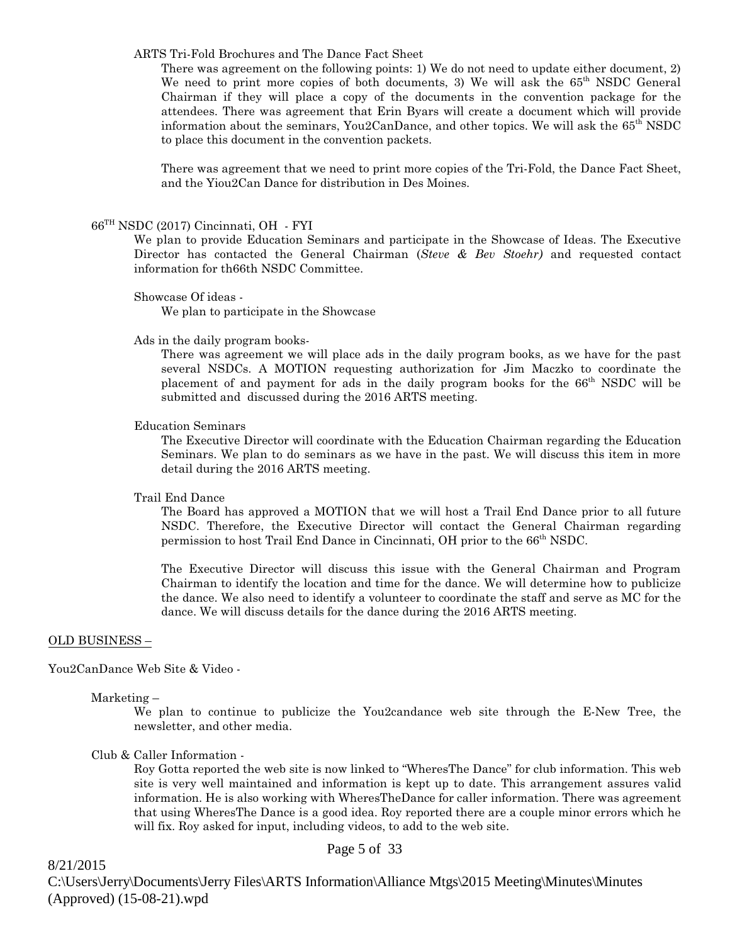### ARTS Tri-Fold Brochures and The Dance Fact Sheet

There was agreement on the following points: 1) We do not need to update either document, 2) We need to print more copies of both documents, 3) We will ask the  $65<sup>th</sup>$  NSDC General Chairman if they will place a copy of the documents in the convention package for the attendees. There was agreement that Erin Byars will create a document which will provide information about the seminars, You2CanDance, and other topics. We will ask the  $65<sup>th</sup>$  NSDC to place this document in the convention packets.

There was agreement that we need to print more copies of the Tri-Fold, the Dance Fact Sheet, and the Yiou2Can Dance for distribution in Des Moines.

### 66TH NSDC (2017) Cincinnati, OH - FYI

We plan to provide Education Seminars and participate in the Showcase of Ideas. The Executive Director has contacted the General Chairman (*Steve & Bev Stoehr)* and requested contact information for th66th NSDC Committee.

### Showcase Of ideas -

We plan to participate in the Showcase

### Ads in the daily program books-

There was agreement we will place ads in the daily program books, as we have for the past several NSDCs. A MOTION requesting authorization for Jim Maczko to coordinate the placement of and payment for ads in the daily program books for the 66th NSDC will be submitted and discussed during the 2016 ARTS meeting.

### Education Seminars

The Executive Director will coordinate with the Education Chairman regarding the Education Seminars. We plan to do seminars as we have in the past. We will discuss this item in more detail during the 2016 ARTS meeting.

### Trail End Dance

The Board has approved a MOTION that we will host a Trail End Dance prior to all future NSDC. Therefore, the Executive Director will contact the General Chairman regarding permission to host Trail End Dance in Cincinnati, OH prior to the 66<sup>th</sup> NSDC.

The Executive Director will discuss this issue with the General Chairman and Program Chairman to identify the location and time for the dance. We will determine how to publicize the dance. We also need to identify a volunteer to coordinate the staff and serve as MC for the dance. We will discuss details for the dance during the 2016 ARTS meeting.

### OLD BUSINESS –

You2CanDance Web Site & Video -

Marketing –

We plan to continue to publicize the You2candance web site through the E-New Tree, the newsletter, and other media.

### Club & Caller Information -

Roy Gotta reported the web site is now linked to "WheresThe Dance" for club information. This web site is very well maintained and information is kept up to date. This arrangement assures valid information. He is also working with WheresTheDance for caller information. There was agreement that using WheresThe Dance is a good idea. Roy reported there are a couple minor errors which he will fix. Roy asked for input, including videos, to add to the web site.

8/21/2015 C:\Users\Jerry\Documents\Jerry Files\ARTS Information\Alliance Mtgs\2015 Meeting\Minutes\Minutes (Approved) (15-08-21).wpd

# Page 5 of 33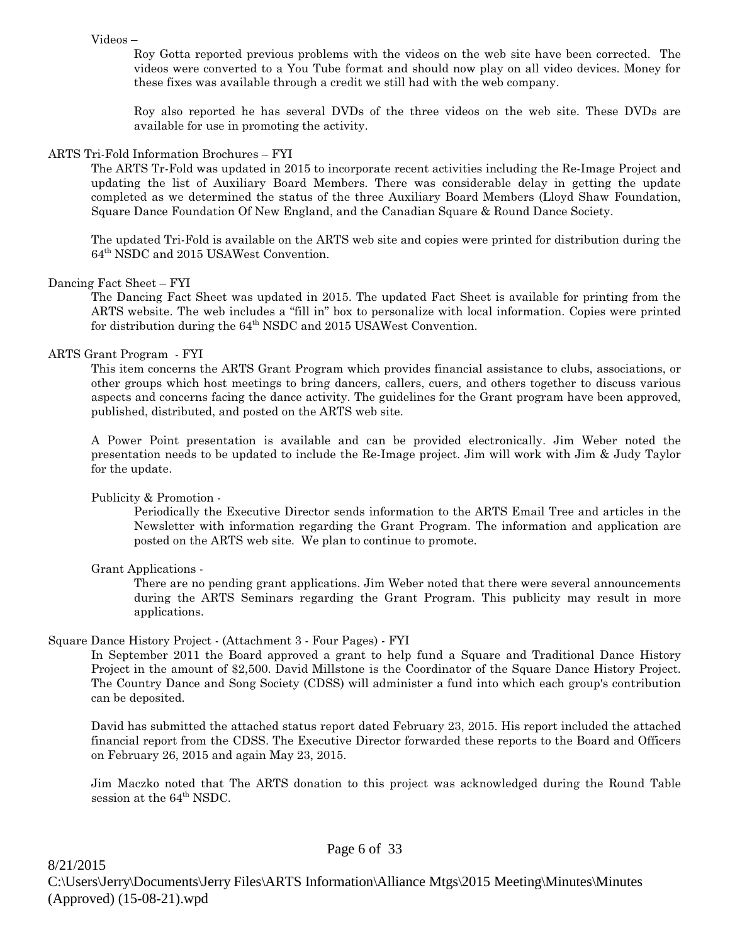### Videos –

Roy Gotta reported previous problems with the videos on the web site have been corrected. The videos were converted to a You Tube format and should now play on all video devices. Money for these fixes was available through a credit we still had with the web company.

Roy also reported he has several DVDs of the three videos on the web site. These DVDs are available for use in promoting the activity.

# ARTS Tri-Fold Information Brochures – FYI

The ARTS Tr-Fold was updated in 2015 to incorporate recent activities including the Re-Image Project and updating the list of Auxiliary Board Members. There was considerable delay in getting the update completed as we determined the status of the three Auxiliary Board Members (Lloyd Shaw Foundation, Square Dance Foundation Of New England, and the Canadian Square & Round Dance Society.

The updated Tri-Fold is available on the ARTS web site and copies were printed for distribution during the 64th NSDC and 2015 USAWest Convention.

# Dancing Fact Sheet – FYI

The Dancing Fact Sheet was updated in 2015. The updated Fact Sheet is available for printing from the ARTS website. The web includes a "fill in" box to personalize with local information. Copies were printed for distribution during the  $64<sup>th</sup>$  NSDC and 2015 USAWest Convention.

# ARTS Grant Program - FYI

This item concerns the ARTS Grant Program which provides financial assistance to clubs, associations, or other groups which host meetings to bring dancers, callers, cuers, and others together to discuss various aspects and concerns facing the dance activity. The guidelines for the Grant program have been approved, published, distributed, and posted on the ARTS web site.

A Power Point presentation is available and can be provided electronically. Jim Weber noted the presentation needs to be updated to include the Re-Image project. Jim will work with Jim & Judy Taylor for the update.

### Publicity & Promotion -

Periodically the Executive Director sends information to the ARTS Email Tree and articles in the Newsletter with information regarding the Grant Program. The information and application are posted on the ARTS web site. We plan to continue to promote.

# Grant Applications -

There are no pending grant applications. Jim Weber noted that there were several announcements during the ARTS Seminars regarding the Grant Program. This publicity may result in more applications.

### Square Dance History Project - (Attachment 3 - Four Pages) - FYI

In September 2011 the Board approved a grant to help fund a Square and Traditional Dance History Project in the amount of \$2,500. David Millstone is the Coordinator of the Square Dance History Project. The Country Dance and Song Society (CDSS) will administer a fund into which each group's contribution can be deposited.

David has submitted the attached status report dated February 23, 2015. His report included the attached financial report from the CDSS. The Executive Director forwarded these reports to the Board and Officers on February 26, 2015 and again May 23, 2015.

Jim Maczko noted that The ARTS donation to this project was acknowledged during the Round Table session at the 64<sup>th</sup> NSDC.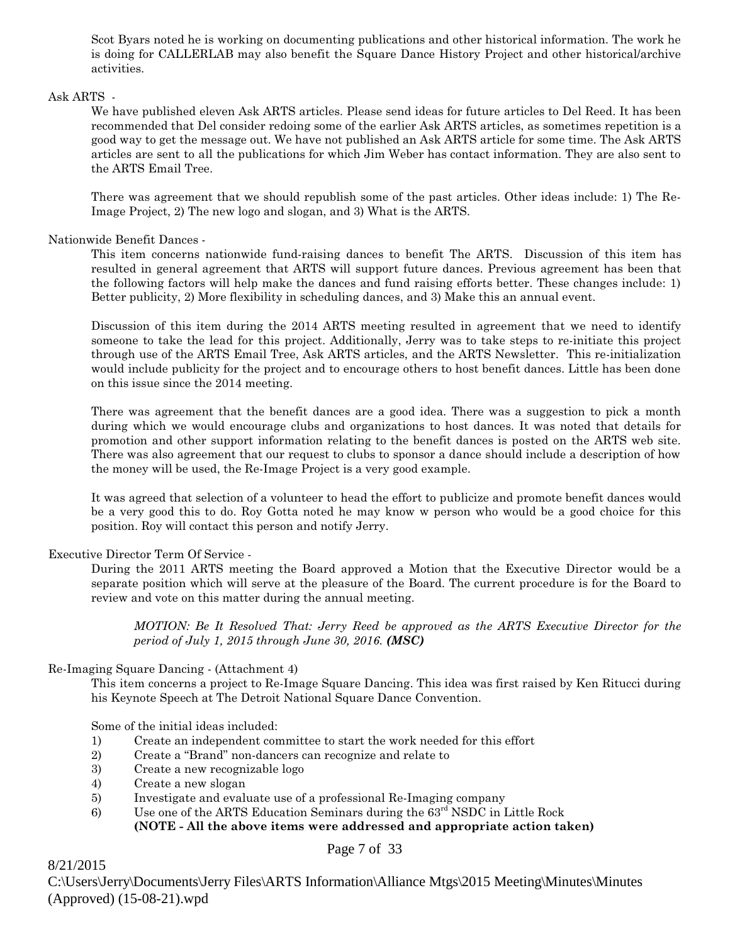Scot Byars noted he is working on documenting publications and other historical information. The work he is doing for CALLERLAB may also benefit the Square Dance History Project and other historical/archive activities.

# Ask ARTS -

We have published eleven Ask ARTS articles. Please send ideas for future articles to Del Reed. It has been recommended that Del consider redoing some of the earlier Ask ARTS articles, as sometimes repetition is a good way to get the message out. We have not published an Ask ARTS article for some time. The Ask ARTS articles are sent to all the publications for which Jim Weber has contact information. They are also sent to the ARTS Email Tree.

There was agreement that we should republish some of the past articles. Other ideas include: 1) The Re-Image Project, 2) The new logo and slogan, and 3) What is the ARTS.

# Nationwide Benefit Dances -

This item concerns nationwide fund-raising dances to benefit The ARTS. Discussion of this item has resulted in general agreement that ARTS will support future dances. Previous agreement has been that the following factors will help make the dances and fund raising efforts better. These changes include: 1) Better publicity, 2) More flexibility in scheduling dances, and 3) Make this an annual event.

Discussion of this item during the 2014 ARTS meeting resulted in agreement that we need to identify someone to take the lead for this project. Additionally, Jerry was to take steps to re-initiate this project through use of the ARTS Email Tree, Ask ARTS articles, and the ARTS Newsletter. This re-initialization would include publicity for the project and to encourage others to host benefit dances. Little has been done on this issue since the 2014 meeting.

There was agreement that the benefit dances are a good idea. There was a suggestion to pick a month during which we would encourage clubs and organizations to host dances. It was noted that details for promotion and other support information relating to the benefit dances is posted on the ARTS web site. There was also agreement that our request to clubs to sponsor a dance should include a description of how the money will be used, the Re-Image Project is a very good example.

It was agreed that selection of a volunteer to head the effort to publicize and promote benefit dances would be a very good this to do. Roy Gotta noted he may know w person who would be a good choice for this position. Roy will contact this person and notify Jerry.

# Executive Director Term Of Service -

During the 2011 ARTS meeting the Board approved a Motion that the Executive Director would be a separate position which will serve at the pleasure of the Board. The current procedure is for the Board to review and vote on this matter during the annual meeting.

*MOTION: Be It Resolved That: Jerry Reed be approved as the ARTS Executive Director for the period of July 1, 2015 through June 30, 2016. (MSC)*

# Re-Imaging Square Dancing - (Attachment 4)

This item concerns a project to Re-Image Square Dancing. This idea was first raised by Ken Ritucci during his Keynote Speech at The Detroit National Square Dance Convention.

Some of the initial ideas included:

- 1) Create an independent committee to start the work needed for this effort
- 2) Create a "Brand" non-dancers can recognize and relate to
- 3) Create a new recognizable logo
- 4) Create a new slogan

8/21/2015

- 5) Investigate and evaluate use of a professional Re-Imaging company
- 6) Use one of the ARTS Education Seminars during the 63rd NSDC in Little Rock **(NOTE - All the above items were addressed and appropriate action taken)**

# Page 7 of 33

C:\Users\Jerry\Documents\Jerry Files\ARTS Information\Alliance Mtgs\2015 Meeting\Minutes\Minutes (Approved) (15-08-21).wpd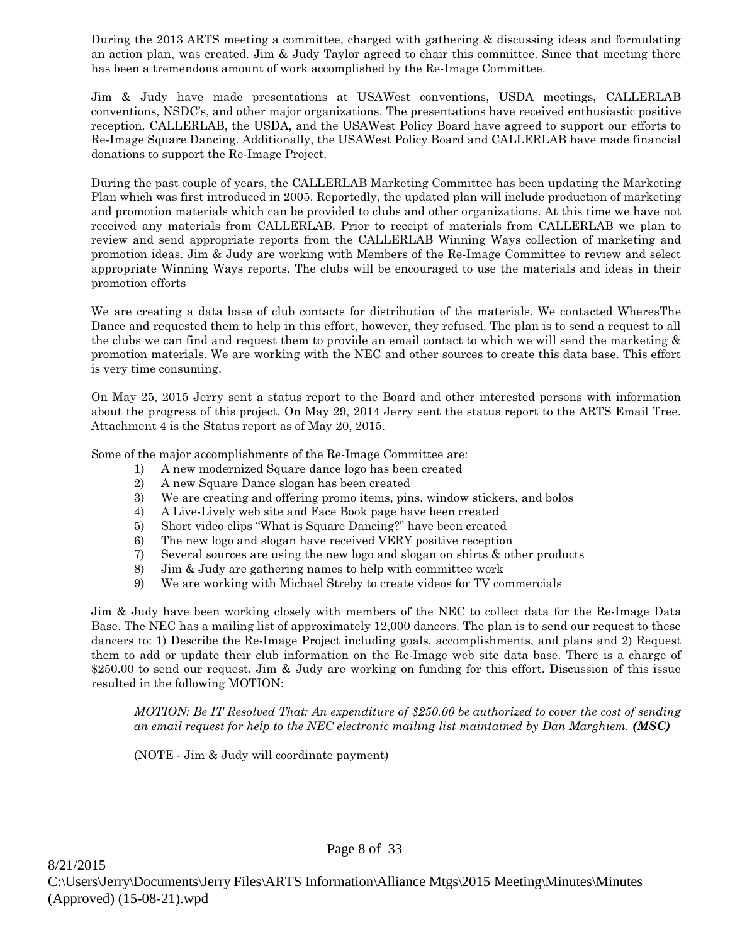During the 2013 ARTS meeting a committee, charged with gathering & discussing ideas and formulating an action plan, was created. Jim & Judy Taylor agreed to chair this committee. Since that meeting there has been a tremendous amount of work accomplished by the Re-Image Committee.

Jim & Judy have made presentations at USAWest conventions, USDA meetings, CALLERLAB conventions, NSDC's, and other major organizations. The presentations have received enthusiastic positive reception. CALLERLAB, the USDA, and the USAWest Policy Board have agreed to support our efforts to Re-Image Square Dancing. Additionally, the USAWest Policy Board and CALLERLAB have made financial donations to support the Re-Image Project.

During the past couple of years, the CALLERLAB Marketing Committee has been updating the Marketing Plan which was first introduced in 2005. Reportedly, the updated plan will include production of marketing and promotion materials which can be provided to clubs and other organizations. At this time we have not received any materials from CALLERLAB. Prior to receipt of materials from CALLERLAB we plan to review and send appropriate reports from the CALLERLAB Winning Ways collection of marketing and promotion ideas. Jim & Judy are working with Members of the Re-Image Committee to review and select appropriate Winning Ways reports. The clubs will be encouraged to use the materials and ideas in their promotion efforts

We are creating a data base of club contacts for distribution of the materials. We contacted WheresThe Dance and requested them to help in this effort, however, they refused. The plan is to send a request to all the clubs we can find and request them to provide an email contact to which we will send the marketing & promotion materials. We are working with the NEC and other sources to create this data base. This effort is very time consuming.

On May 25, 2015 Jerry sent a status report to the Board and other interested persons with information about the progress of this project. On May 29, 2014 Jerry sent the status report to the ARTS Email Tree. Attachment 4 is the Status report as of May 20, 2015.

Some of the major accomplishments of the Re-Image Committee are:

- 1) A new modernized Square dance logo has been created
- 2) A new Square Dance slogan has been created
- 3) We are creating and offering promo items, pins, window stickers, and bolos
- 4) A Live-Lively web site and Face Book page have been created
- 5) Short video clips "What is Square Dancing?" have been created
- 6) The new logo and slogan have received VERY positive reception
- 7) Several sources are using the new logo and slogan on shirts & other products
- 8) Jim & Judy are gathering names to help with committee work
- 9) We are working with Michael Streby to create videos for TV commercials

Jim & Judy have been working closely with members of the NEC to collect data for the Re-Image Data Base. The NEC has a mailing list of approximately 12,000 dancers. The plan is to send our request to these dancers to: 1) Describe the Re-Image Project including goals, accomplishments, and plans and 2) Request them to add or update their club information on the Re-Image web site data base. There is a charge of \$250.00 to send our request. Jim & Judy are working on funding for this effort. Discussion of this issue resulted in the following MOTION:

*MOTION: Be IT Resolved That: An expenditure of \$250.00 be authorized to cover the cost of sending an email request for help to the NEC electronic mailing list maintained by Dan Marghiem. (MSC)* 

(NOTE - Jim & Judy will coordinate payment)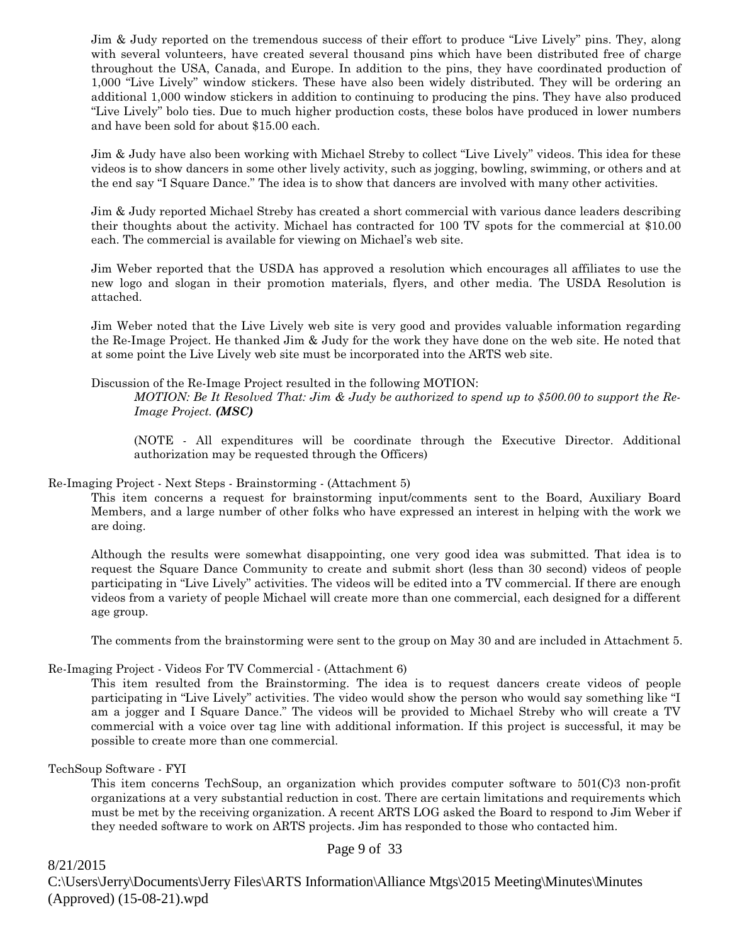Jim & Judy reported on the tremendous success of their effort to produce "Live Lively" pins. They, along with several volunteers, have created several thousand pins which have been distributed free of charge throughout the USA, Canada, and Europe. In addition to the pins, they have coordinated production of 1,000 "Live Lively" window stickers. These have also been widely distributed. They will be ordering an additional 1,000 window stickers in addition to continuing to producing the pins. They have also produced "Live Lively" bolo ties. Due to much higher production costs, these bolos have produced in lower numbers and have been sold for about \$15.00 each.

Jim & Judy have also been working with Michael Streby to collect "Live Lively" videos. This idea for these videos is to show dancers in some other lively activity, such as jogging, bowling, swimming, or others and at the end say "I Square Dance." The idea is to show that dancers are involved with many other activities.

Jim & Judy reported Michael Streby has created a short commercial with various dance leaders describing their thoughts about the activity. Michael has contracted for 100 TV spots for the commercial at \$10.00 each. The commercial is available for viewing on Michael's web site.

Jim Weber reported that the USDA has approved a resolution which encourages all affiliates to use the new logo and slogan in their promotion materials, flyers, and other media. The USDA Resolution is attached.

Jim Weber noted that the Live Lively web site is very good and provides valuable information regarding the Re-Image Project. He thanked Jim & Judy for the work they have done on the web site. He noted that at some point the Live Lively web site must be incorporated into the ARTS web site.

# Discussion of the Re-Image Project resulted in the following MOTION:

*MOTION: Be It Resolved That: Jim & Judy be authorized to spend up to \$500.00 to support the Re-Image Project. (MSC)*

(NOTE - All expenditures will be coordinate through the Executive Director. Additional authorization may be requested through the Officers)

### Re-Imaging Project - Next Steps - Brainstorming - (Attachment 5)

This item concerns a request for brainstorming input/comments sent to the Board, Auxiliary Board Members, and a large number of other folks who have expressed an interest in helping with the work we are doing.

Although the results were somewhat disappointing, one very good idea was submitted. That idea is to request the Square Dance Community to create and submit short (less than 30 second) videos of people participating in "Live Lively" activities. The videos will be edited into a TV commercial. If there are enough videos from a variety of people Michael will create more than one commercial, each designed for a different age group.

The comments from the brainstorming were sent to the group on May 30 and are included in Attachment 5.

# Re-Imaging Project - Videos For TV Commercial - (Attachment 6)

This item resulted from the Brainstorming. The idea is to request dancers create videos of people participating in "Live Lively" activities. The video would show the person who would say something like "I am a jogger and I Square Dance." The videos will be provided to Michael Streby who will create a TV commercial with a voice over tag line with additional information. If this project is successful, it may be possible to create more than one commercial.

# TechSoup Software - FYI

This item concerns TechSoup, an organization which provides computer software to 501(C)3 non-profit organizations at a very substantial reduction in cost. There are certain limitations and requirements which must be met by the receiving organization. A recent ARTS LOG asked the Board to respond to Jim Weber if they needed software to work on ARTS projects. Jim has responded to those who contacted him.

8/21/2015 C:\Users\Jerry\Documents\Jerry Files\ARTS Information\Alliance Mtgs\2015 Meeting\Minutes\Minutes (Approved) (15-08-21).wpd

# Page 9 of 33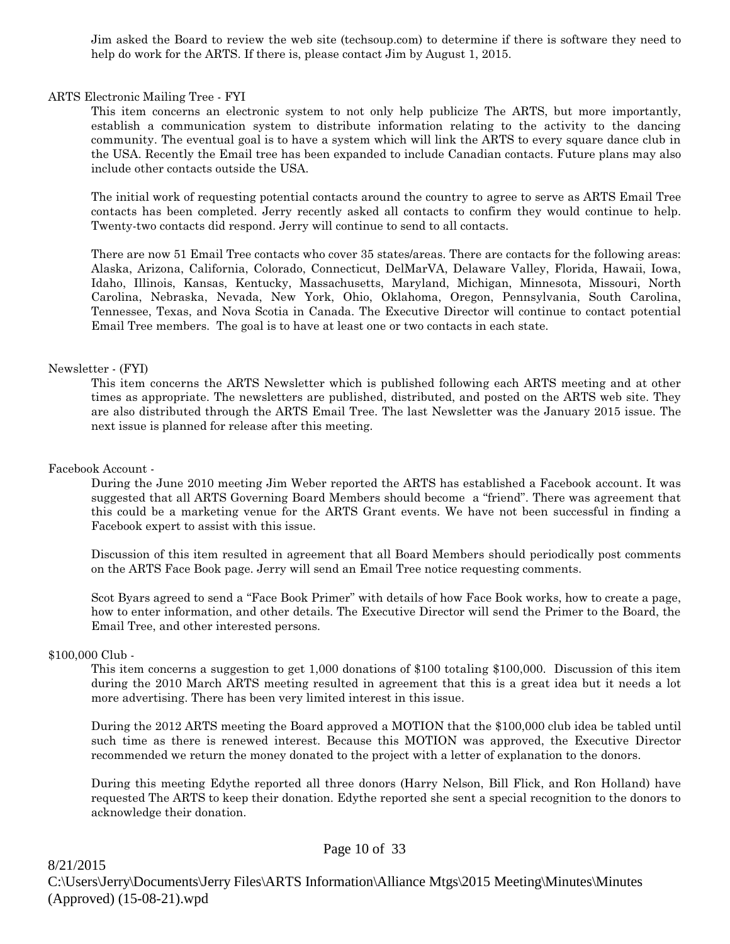Jim asked the Board to review the web site (techsoup.com) to determine if there is software they need to help do work for the ARTS. If there is, please contact Jim by August 1, 2015.

### ARTS Electronic Mailing Tree - FYI

This item concerns an electronic system to not only help publicize The ARTS, but more importantly, establish a communication system to distribute information relating to the activity to the dancing community. The eventual goal is to have a system which will link the ARTS to every square dance club in the USA. Recently the Email tree has been expanded to include Canadian contacts. Future plans may also include other contacts outside the USA.

The initial work of requesting potential contacts around the country to agree to serve as ARTS Email Tree contacts has been completed. Jerry recently asked all contacts to confirm they would continue to help. Twenty-two contacts did respond. Jerry will continue to send to all contacts.

There are now 51 Email Tree contacts who cover 35 states/areas. There are contacts for the following areas: Alaska, Arizona, California, Colorado, Connecticut, DelMarVA, Delaware Valley, Florida, Hawaii, Iowa, Idaho, Illinois, Kansas, Kentucky, Massachusetts, Maryland, Michigan, Minnesota, Missouri, North Carolina, Nebraska, Nevada, New York, Ohio, Oklahoma, Oregon, Pennsylvania, South Carolina, Tennessee, Texas, and Nova Scotia in Canada. The Executive Director will continue to contact potential Email Tree members. The goal is to have at least one or two contacts in each state.

### Newsletter - (FYI)

This item concerns the ARTS Newsletter which is published following each ARTS meeting and at other times as appropriate. The newsletters are published, distributed, and posted on the ARTS web site. They are also distributed through the ARTS Email Tree. The last Newsletter was the January 2015 issue. The next issue is planned for release after this meeting.

### Facebook Account -

During the June 2010 meeting Jim Weber reported the ARTS has established a Facebook account. It was suggested that all ARTS Governing Board Members should become a "friend". There was agreement that this could be a marketing venue for the ARTS Grant events. We have not been successful in finding a Facebook expert to assist with this issue.

Discussion of this item resulted in agreement that all Board Members should periodically post comments on the ARTS Face Book page. Jerry will send an Email Tree notice requesting comments.

Scot Byars agreed to send a "Face Book Primer" with details of how Face Book works, how to create a page, how to enter information, and other details. The Executive Director will send the Primer to the Board, the Email Tree, and other interested persons.

### \$100,000 Club -

This item concerns a suggestion to get 1,000 donations of \$100 totaling \$100,000. Discussion of this item during the 2010 March ARTS meeting resulted in agreement that this is a great idea but it needs a lot more advertising. There has been very limited interest in this issue.

During the 2012 ARTS meeting the Board approved a MOTION that the \$100,000 club idea be tabled until such time as there is renewed interest. Because this MOTION was approved, the Executive Director recommended we return the money donated to the project with a letter of explanation to the donors.

During this meeting Edythe reported all three donors (Harry Nelson, Bill Flick, and Ron Holland) have requested The ARTS to keep their donation. Edythe reported she sent a special recognition to the donors to acknowledge their donation.

8/21/2015 C:\Users\Jerry\Documents\Jerry Files\ARTS Information\Alliance Mtgs\2015 Meeting\Minutes\Minutes (Approved) (15-08-21).wpd

# Page 10 of 33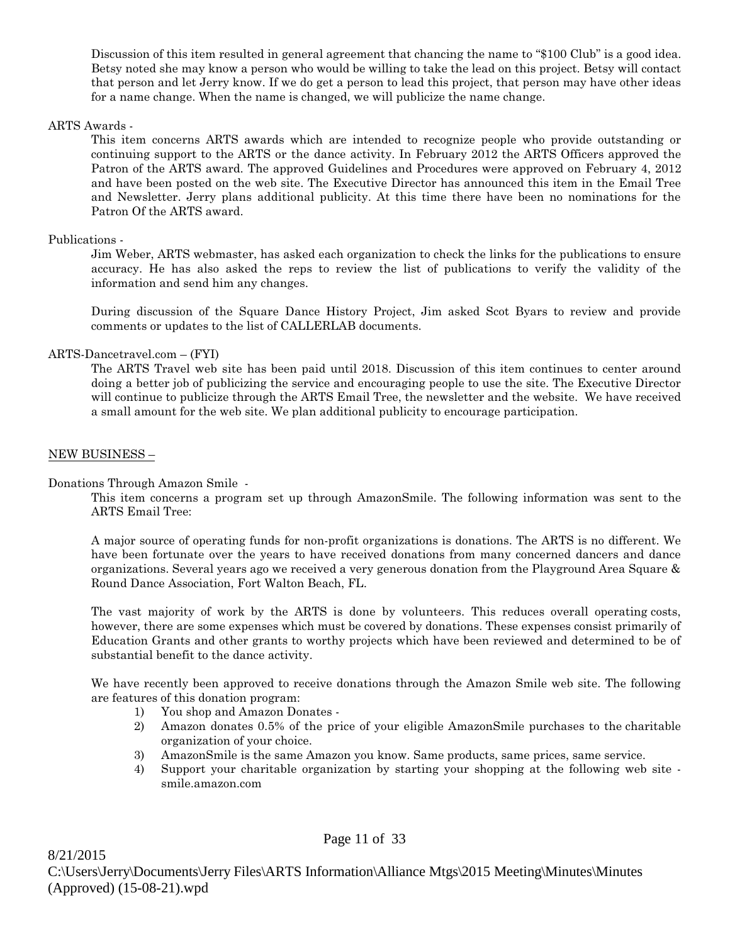Discussion of this item resulted in general agreement that chancing the name to "\$100 Club" is a good idea. Betsy noted she may know a person who would be willing to take the lead on this project. Betsy will contact that person and let Jerry know. If we do get a person to lead this project, that person may have other ideas for a name change. When the name is changed, we will publicize the name change.

### ARTS Awards -

This item concerns ARTS awards which are intended to recognize people who provide outstanding or continuing support to the ARTS or the dance activity. In February 2012 the ARTS Officers approved the Patron of the ARTS award. The approved Guidelines and Procedures were approved on February 4, 2012 and have been posted on the web site. The Executive Director has announced this item in the Email Tree and Newsletter. Jerry plans additional publicity. At this time there have been no nominations for the Patron Of the ARTS award.

### Publications -

Jim Weber, ARTS webmaster, has asked each organization to check the links for the publications to ensure accuracy. He has also asked the reps to review the list of publications to verify the validity of the information and send him any changes.

During discussion of the Square Dance History Project, Jim asked Scot Byars to review and provide comments or updates to the list of CALLERLAB documents.

# ARTS-Dancetravel.com – (FYI)

The ARTS Travel web site has been paid until 2018. Discussion of this item continues to center around doing a better job of publicizing the service and encouraging people to use the site. The Executive Director will continue to publicize through the ARTS Email Tree, the newsletter and the website. We have received a small amount for the web site. We plan additional publicity to encourage participation.

### NEW BUSINESS –

Donations Through Amazon Smile -

This item concerns a program set up through AmazonSmile. The following information was sent to the ARTS Email Tree:

A major source of operating funds for non-profit organizations is donations. The ARTS is no different. We have been fortunate over the years to have received donations from many concerned dancers and dance organizations. Several years ago we received a very generous donation from the Playground Area Square & Round Dance Association, Fort Walton Beach, FL.

 The vast majority of work by the ARTS is done by volunteers. This reduces overall operating costs, however, there are some expenses which must be covered by donations. These expenses consist primarily of Education Grants and other grants to worthy projects which have been reviewed and determined to be of substantial benefit to the dance activity.

We have recently been approved to receive donations through the Amazon Smile web site. The following are features of this donation program:

- 1) You shop and Amazon Donates -
- 2) Amazon donates 0.5% of the price of your eligible AmazonSmile purchases to the charitable organization of your choice.
- 3) AmazonSmile is the same Amazon you know. Same products, same prices, same service.
- 4) Support your charitable organization by starting your shopping at the following web site smile.amazon.com

Page 11 of 33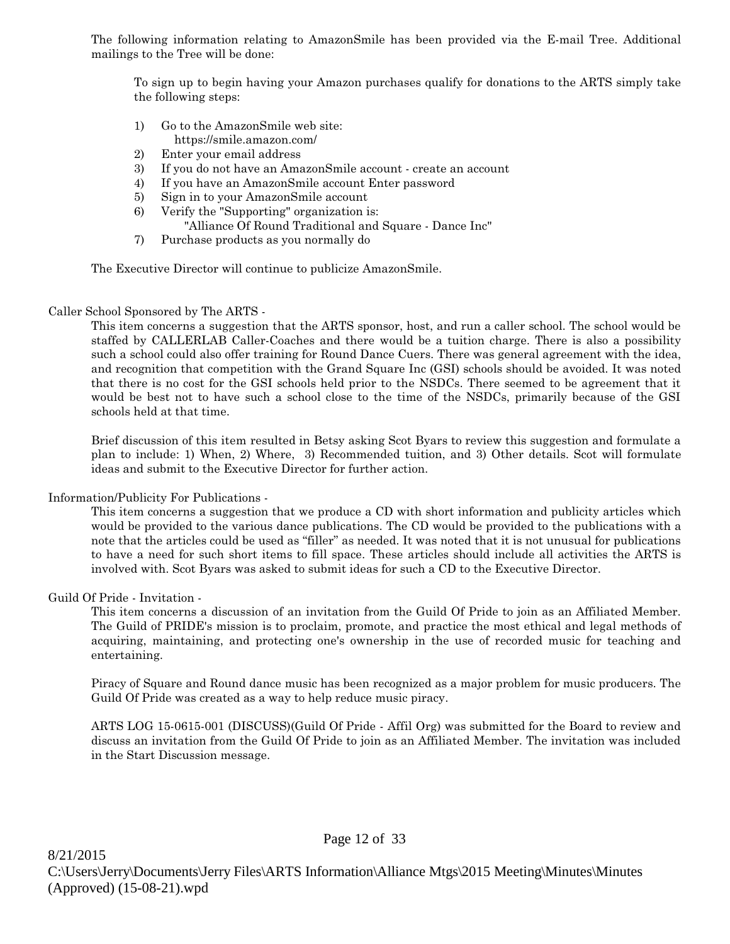The following information relating to AmazonSmile has been provided via the E-mail Tree. Additional mailings to the Tree will be done:

To sign up to begin having your Amazon purchases qualify for donations to the ARTS simply take the following steps:

- 1) Go to the AmazonSmile web site: https://smile.amazon.com/
- 2) Enter your email address
- 3) If you do not have an AmazonSmile account create an account
- 4) If you have an AmazonSmile account Enter password
- 5) Sign in to your AmazonSmile account
- 6) Verify the "Supporting" organization is: "Alliance Of Round Traditional and Square - Dance Inc"
- 7) Purchase products as you normally do

The Executive Director will continue to publicize AmazonSmile.

# Caller School Sponsored by The ARTS -

This item concerns a suggestion that the ARTS sponsor, host, and run a caller school. The school would be staffed by CALLERLAB Caller-Coaches and there would be a tuition charge. There is also a possibility such a school could also offer training for Round Dance Cuers. There was general agreement with the idea, and recognition that competition with the Grand Square Inc (GSI) schools should be avoided. It was noted that there is no cost for the GSI schools held prior to the NSDCs. There seemed to be agreement that it would be best not to have such a school close to the time of the NSDCs, primarily because of the GSI schools held at that time.

Brief discussion of this item resulted in Betsy asking Scot Byars to review this suggestion and formulate a plan to include: 1) When, 2) Where, 3) Recommended tuition, and 3) Other details. Scot will formulate ideas and submit to the Executive Director for further action.

Information/Publicity For Publications -

This item concerns a suggestion that we produce a CD with short information and publicity articles which would be provided to the various dance publications. The CD would be provided to the publications with a note that the articles could be used as "filler" as needed. It was noted that it is not unusual for publications to have a need for such short items to fill space. These articles should include all activities the ARTS is involved with. Scot Byars was asked to submit ideas for such a CD to the Executive Director.

# Guild Of Pride - Invitation -

This item concerns a discussion of an invitation from the Guild Of Pride to join as an Affiliated Member. The Guild of PRIDE's mission is to proclaim, promote, and practice the most ethical and legal methods of acquiring, maintaining, and protecting one's ownership in the use of recorded music for teaching and entertaining.

Piracy of Square and Round dance music has been recognized as a major problem for music producers. The Guild Of Pride was created as a way to help reduce music piracy.

ARTS LOG 15-0615-001 (DISCUSS)(Guild Of Pride - Affil Org) was submitted for the Board to review and discuss an invitation from the Guild Of Pride to join as an Affiliated Member. The invitation was included in the Start Discussion message.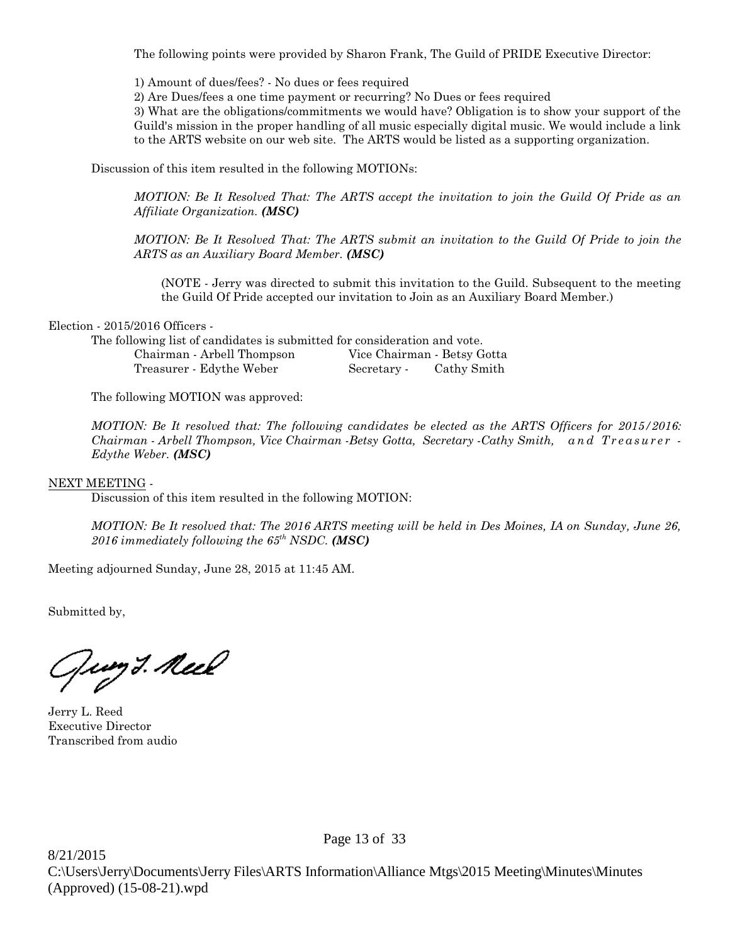The following points were provided by Sharon Frank, The Guild of PRIDE Executive Director:

1) Amount of dues/fees? - No dues or fees required

2) Are Dues/fees a one time payment or recurring? No Dues or fees required

3) What are the obligations/commitments we would have? Obligation is to show your support of the Guild's mission in the proper handling of all music especially digital music. We would include a link to the ARTS website on our web site. The ARTS would be listed as a supporting organization.

Discussion of this item resulted in the following MOTIONs:

*MOTION: Be It Resolved That: The ARTS accept the invitation to join the Guild Of Pride as an Affiliate Organization. (MSC)*

*MOTION: Be It Resolved That: The ARTS submit an invitation to the Guild Of Pride to join the ARTS as an Auxiliary Board Member. (MSC)*

(NOTE - Jerry was directed to submit this invitation to the Guild. Subsequent to the meeting the Guild Of Pride accepted our invitation to Join as an Auxiliary Board Member.)

# Election - 2015/2016 Officers -

The following list of candidates is submitted for consideration and vote. Chairman - Arbell Thompson Vice Chairman - Betsy Gotta Treasurer - Edythe Weber Secretary - Cathy Smith

The following MOTION was approved:

*MOTION: Be It resolved that: The following candidates be elected as the ARTS Officers for 2015/2016: Chairman - Arbell Thompson, Vice Chairman -Betsy Gotta, Secretary -Cathy Smith, and Treasurer -Edythe Weber. (MSC)*

# NEXT MEETING -

Discussion of this item resulted in the following MOTION:

*MOTION: Be It resolved that: The 2016 ARTS meeting will be held in Des Moines, IA on Sunday, June 26, 2016 immediately following the 65th NSDC. (MSC)*

Meeting adjourned Sunday, June 28, 2015 at 11:45 AM.

Submitted by,

Jung *3. Neel* 

Jerry L. Reed Executive Director Transcribed from audio

Page 13 of 33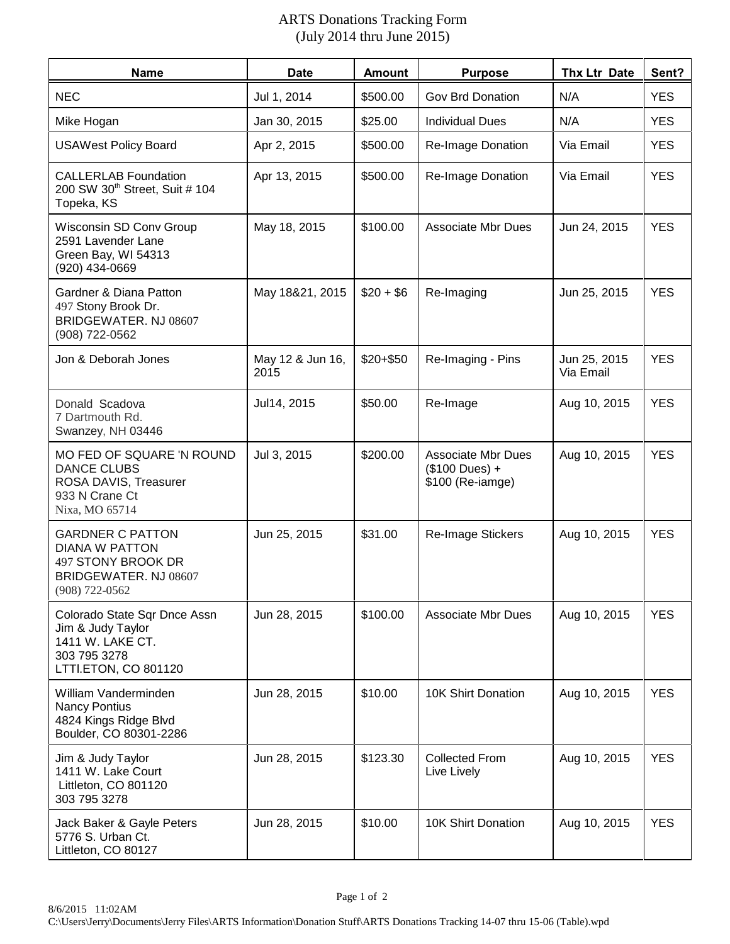# ARTS Donations Tracking Form (July 2014 thru June 2015)

| <b>Name</b>                                                                                                           | <b>Date</b>              | <b>Amount</b> | <b>Purpose</b>                                                           | Thx Ltr Date              | Sent?      |
|-----------------------------------------------------------------------------------------------------------------------|--------------------------|---------------|--------------------------------------------------------------------------|---------------------------|------------|
| <b>NEC</b>                                                                                                            | Jul 1, 2014              | \$500.00      | Gov Brd Donation                                                         | N/A                       | <b>YES</b> |
| Mike Hogan                                                                                                            | Jan 30, 2015             | \$25.00       | <b>Individual Dues</b>                                                   | N/A                       | <b>YES</b> |
| <b>USAWest Policy Board</b>                                                                                           | Apr 2, 2015              | \$500.00      | Re-Image Donation                                                        | Via Email                 | <b>YES</b> |
| <b>CALLERLAB Foundation</b><br>200 SW 30 <sup>th</sup> Street, Suit # 104<br>Topeka, KS                               | Apr 13, 2015             | \$500.00      | Re-Image Donation                                                        | Via Email                 | <b>YES</b> |
| Wisconsin SD Conv Group<br>2591 Lavender Lane<br>Green Bay, WI 54313<br>(920) 434-0669                                | May 18, 2015             | \$100.00      | <b>Associate Mbr Dues</b>                                                | Jun 24, 2015              | <b>YES</b> |
| Gardner & Diana Patton<br>497 Stony Brook Dr.<br>BRIDGEWATER. NJ 08607<br>(908) 722-0562                              | May 18&21, 2015          | $$20 + $6$    | Re-Imaging                                                               | Jun 25, 2015              | <b>YES</b> |
| Jon & Deborah Jones                                                                                                   | May 12 & Jun 16,<br>2015 | $$20 + $50$   | Re-Imaging - Pins                                                        | Jun 25, 2015<br>Via Email | <b>YES</b> |
| Donald Scadova<br>7 Dartmouth Rd.<br>Swanzey, NH 03446                                                                | Jul14, 2015              | \$50.00       | Re-Image                                                                 | Aug 10, 2015              | <b>YES</b> |
| MO FED OF SQUARE 'N ROUND<br><b>DANCE CLUBS</b><br>ROSA DAVIS, Treasurer<br>933 N Crane Ct<br>Nixa, MO 65714          | Jul 3, 2015              | \$200.00      | <b>Associate Mbr Dues</b><br>$($100 \text{ Dues}) +$<br>\$100 (Re-iamge) | Aug 10, 2015              | <b>YES</b> |
| <b>GARDNER C PATTON</b><br><b>DIANA W PATTON</b><br>497 STONY BROOK DR<br>BRIDGEWATER. NJ 08607<br>$(908) 722 - 0562$ | Jun 25, 2015             | \$31.00       | Re-Image Stickers                                                        | Aug 10, 2015              | <b>YES</b> |
| Colorado State Sqr Dnce Assn<br>Jim & Judy Taylor<br>1411 W. LAKE CT.<br>303 795 3278<br>LTTI.ETON, CO 801120         | Jun 28, 2015             | \$100.00      | <b>Associate Mbr Dues</b>                                                | Aug 10, 2015              | <b>YES</b> |
| William Vanderminden<br><b>Nancy Pontius</b><br>4824 Kings Ridge Blvd<br>Boulder, CO 80301-2286                       | Jun 28, 2015             | \$10.00       | 10K Shirt Donation                                                       | Aug 10, 2015              | <b>YES</b> |
| Jim & Judy Taylor<br>1411 W. Lake Court<br>Littleton, CO 801120<br>303 795 3278                                       | Jun 28, 2015             | \$123.30      | <b>Collected From</b><br>Live Lively                                     | Aug 10, 2015              | <b>YES</b> |
| Jack Baker & Gayle Peters<br>5776 S. Urban Ct.<br>Littleton, CO 80127                                                 | Jun 28, 2015             | \$10.00       | 10K Shirt Donation                                                       | Aug 10, 2015              | <b>YES</b> |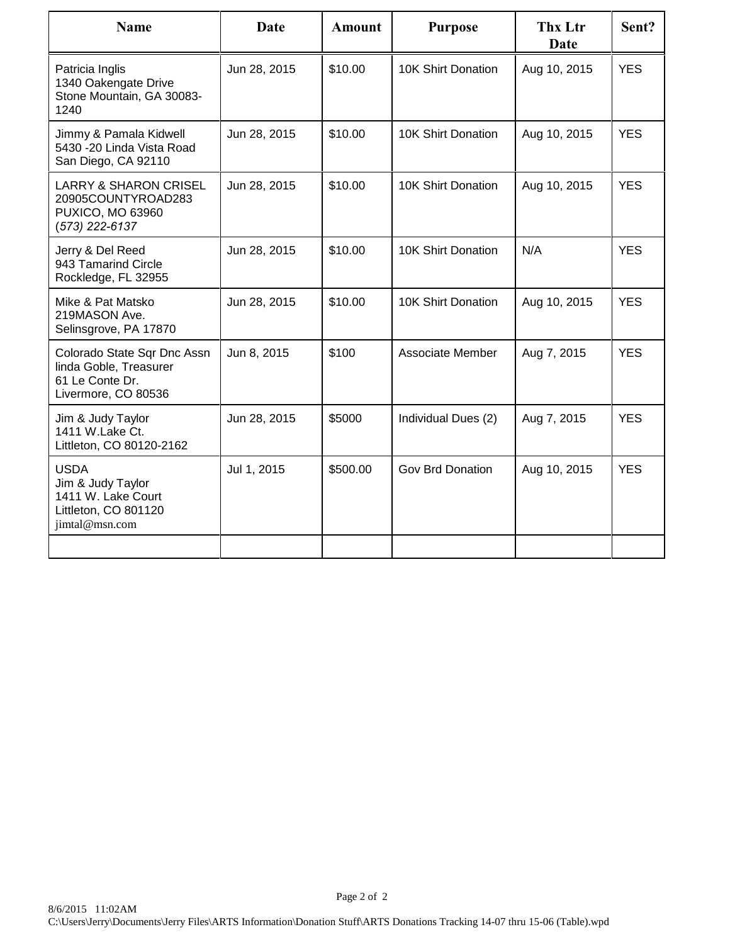| <b>Name</b>                                                                                         | Date         | <b>Amount</b> | <b>Purpose</b>      | Thx Ltr<br><b>Date</b> | Sent?      |
|-----------------------------------------------------------------------------------------------------|--------------|---------------|---------------------|------------------------|------------|
| Patricia Inglis<br>1340 Oakengate Drive<br>Stone Mountain, GA 30083-<br>1240                        | Jun 28, 2015 | \$10.00       | 10K Shirt Donation  | Aug 10, 2015           | <b>YES</b> |
| Jimmy & Pamala Kidwell<br>5430 -20 Linda Vista Road<br>San Diego, CA 92110                          | Jun 28, 2015 | \$10.00       | 10K Shirt Donation  | Aug 10, 2015           | <b>YES</b> |
| <b>LARRY &amp; SHARON CRISEL</b><br>20905COUNTYROAD283<br><b>PUXICO, MO 63960</b><br>(573) 222-6137 | Jun 28, 2015 | \$10.00       | 10K Shirt Donation  | Aug 10, 2015           | <b>YES</b> |
| Jerry & Del Reed<br>943 Tamarind Circle<br>Rockledge, FL 32955                                      | Jun 28, 2015 | \$10.00       | 10K Shirt Donation  | N/A                    | <b>YES</b> |
| Mike & Pat Matsko<br>219MASON Ave.<br>Selinsgrove, PA 17870                                         | Jun 28, 2015 | \$10.00       | 10K Shirt Donation  | Aug 10, 2015           | <b>YES</b> |
| Colorado State Sqr Dnc Assn<br>linda Goble, Treasurer<br>61 Le Conte Dr.<br>Livermore, CO 80536     | Jun 8, 2015  | \$100         | Associate Member    | Aug 7, 2015            | <b>YES</b> |
| Jim & Judy Taylor<br>1411 W.Lake Ct.<br>Littleton, CO 80120-2162                                    | Jun 28, 2015 | \$5000        | Individual Dues (2) | Aug 7, 2015            | <b>YES</b> |
| <b>USDA</b><br>Jim & Judy Taylor<br>1411 W. Lake Court<br>Littleton, CO 801120<br>jimtal@msn.com    | Jul 1, 2015  | \$500.00      | Gov Brd Donation    | Aug 10, 2015           | <b>YES</b> |
|                                                                                                     |              |               |                     |                        |            |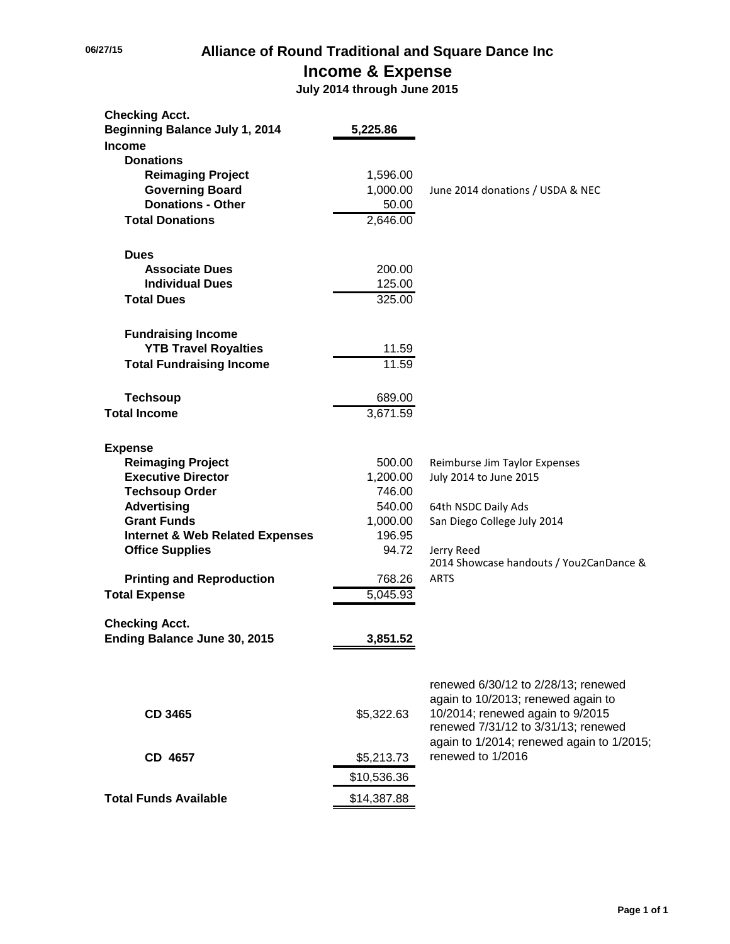# **06/27/15 Alliance of Round Traditional and Square Dance Inc Income & Expense**

 **July 2014 through June 2015**

| <b>Checking Acct.</b>                      |             |                                                       |
|--------------------------------------------|-------------|-------------------------------------------------------|
| <b>Beginning Balance July 1, 2014</b>      | 5,225.86    |                                                       |
| <b>Income</b>                              |             |                                                       |
| <b>Donations</b>                           |             |                                                       |
| <b>Reimaging Project</b>                   | 1,596.00    |                                                       |
| <b>Governing Board</b>                     | 1,000.00    | June 2014 donations / USDA & NEC                      |
| <b>Donations - Other</b>                   | 50.00       |                                                       |
| <b>Total Donations</b>                     | 2,646.00    |                                                       |
| <b>Dues</b>                                |             |                                                       |
| <b>Associate Dues</b>                      | 200.00      |                                                       |
| <b>Individual Dues</b>                     | 125.00      |                                                       |
| <b>Total Dues</b>                          | 325.00      |                                                       |
| <b>Fundraising Income</b>                  |             |                                                       |
| <b>YTB Travel Royalties</b>                | 11.59       |                                                       |
| <b>Total Fundraising Income</b>            | 11.59       |                                                       |
| <b>Techsoup</b>                            | 689.00      |                                                       |
| <b>Total Income</b>                        | 3,671.59    |                                                       |
| <b>Expense</b>                             |             |                                                       |
| <b>Reimaging Project</b>                   | 500.00      | Reimburse Jim Taylor Expenses                         |
| <b>Executive Director</b>                  | 1,200.00    | July 2014 to June 2015                                |
| <b>Techsoup Order</b>                      | 746.00      |                                                       |
| <b>Advertising</b>                         | 540.00      | 64th NSDC Daily Ads                                   |
| <b>Grant Funds</b>                         | 1,000.00    | San Diego College July 2014                           |
| <b>Internet &amp; Web Related Expenses</b> | 196.95      |                                                       |
| <b>Office Supplies</b>                     | 94.72       | Jerry Reed<br>2014 Showcase handouts / You2CanDance & |
| <b>Printing and Reproduction</b>           | 768.26      | <b>ARTS</b>                                           |
| <b>Total Expense</b>                       | 5,045.93    |                                                       |
| <b>Checking Acct.</b>                      |             |                                                       |
| Ending Balance June 30, 2015               | 3,851.52    |                                                       |
|                                            |             |                                                       |
|                                            |             | renewed 6/30/12 to 2/28/13; renewed                   |
|                                            |             | again to 10/2013; renewed again to                    |
| <b>CD 3465</b>                             | \$5,322.63  | 10/2014; renewed again to 9/2015                      |
|                                            |             | renewed 7/31/12 to 3/31/13; renewed                   |
|                                            |             | again to 1/2014; renewed again to 1/2015;             |
| CD 4657                                    | \$5,213.73  | renewed to 1/2016                                     |
|                                            | \$10,536.36 |                                                       |
| <b>Total Funds Available</b>               | \$14,387.88 |                                                       |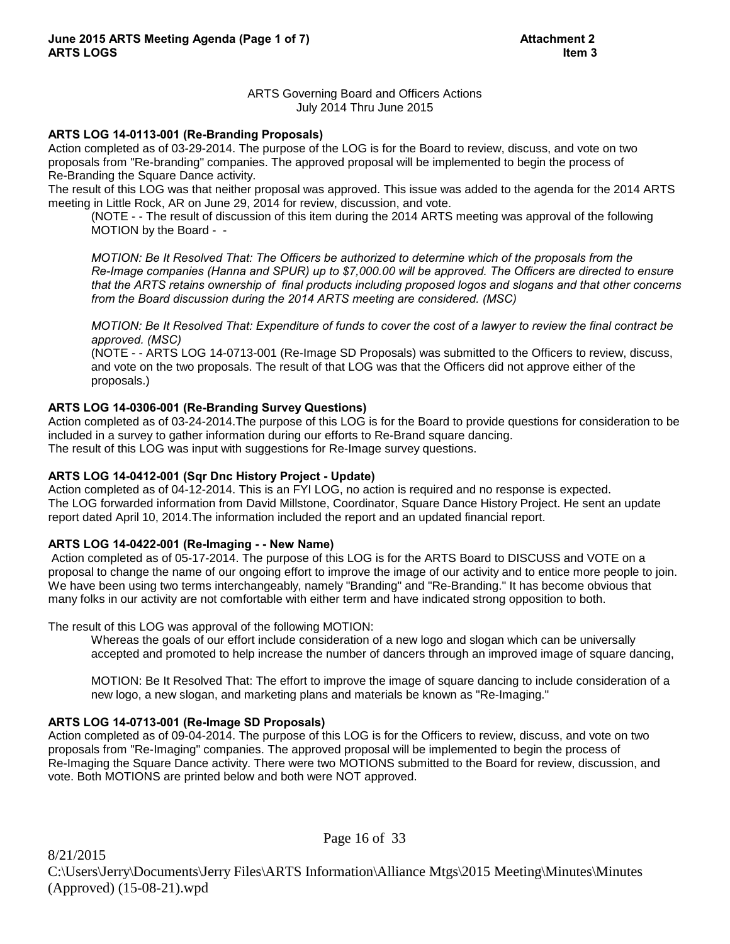# ARTS Governing Board and Officers Actions July 2014 Thru June 2015

# **ARTS LOG 14-0113-001 (Re-Branding Proposals)**

Action completed as of 03-29-2014. The purpose of the LOG is for the Board to review, discuss, and vote on two proposals from "Re-branding" companies. The approved proposal will be implemented to begin the process of Re-Branding the Square Dance activity.

The result of this LOG was that neither proposal was approved. This issue was added to the agenda for the 2014 ARTS meeting in Little Rock, AR on June 29, 2014 for review, discussion, and vote.

(NOTE - - The result of discussion of this item during the 2014 ARTS meeting was approval of the following MOTION by the Board - -

*MOTION: Be It Resolved That: The Officers be authorized to determine which of the proposals from the Re-Image companies (Hanna and SPUR) up to \$7,000.00 will be approved. The Officers are directed to ensure that the ARTS retains ownership of final products including proposed logos and slogans and that other concerns from the Board discussion during the 2014 ARTS meeting are considered. (MSC)*

*MOTION: Be It Resolved That: Expenditure of funds to cover the cost of a lawyer to review the final contract be approved. (MSC)* 

 (NOTE - - ARTS LOG 14-0713-001 (Re-Image SD Proposals) was submitted to the Officers to review, discuss, and vote on the two proposals. The result of that LOG was that the Officers did not approve either of the proposals.)

# **ARTS LOG 14-0306-001 (Re-Branding Survey Questions)**

Action completed as of 03-24-2014.The purpose of this LOG is for the Board to provide questions for consideration to be included in a survey to gather information during our efforts to Re-Brand square dancing. The result of this LOG was input with suggestions for Re-Image survey questions.

# **ARTS LOG 14-0412-001 (Sqr Dnc History Project - Update)**

Action completed as of 04-12-2014. This is an FYI LOG, no action is required and no response is expected. The LOG forwarded information from David Millstone, Coordinator, Square Dance History Project. He sent an update report dated April 10, 2014.The information included the report and an updated financial report.

# **ARTS LOG 14-0422-001 (Re-Imaging - - New Name)**

 Action completed as of 05-17-2014. The purpose of this LOG is for the ARTS Board to DISCUSS and VOTE on a proposal to change the name of our ongoing effort to improve the image of our activity and to entice more people to join. We have been using two terms interchangeably, namely "Branding" and "Re-Branding." It has become obvious that many folks in our activity are not comfortable with either term and have indicated strong opposition to both.

The result of this LOG was approval of the following MOTION:

Whereas the goals of our effort include consideration of a new logo and slogan which can be universally accepted and promoted to help increase the number of dancers through an improved image of square dancing,

MOTION: Be It Resolved That: The effort to improve the image of square dancing to include consideration of a new logo, a new slogan, and marketing plans and materials be known as "Re-Imaging."

# **ARTS LOG 14-0713-001 (Re-Image SD Proposals)**

Action completed as of 09-04-2014. The purpose of this LOG is for the Officers to review, discuss, and vote on two proposals from "Re-Imaging" companies. The approved proposal will be implemented to begin the process of Re-Imaging the Square Dance activity. There were two MOTIONS submitted to the Board for review, discussion, and vote. Both MOTIONS are printed below and both were NOT approved.

Page 16 of 33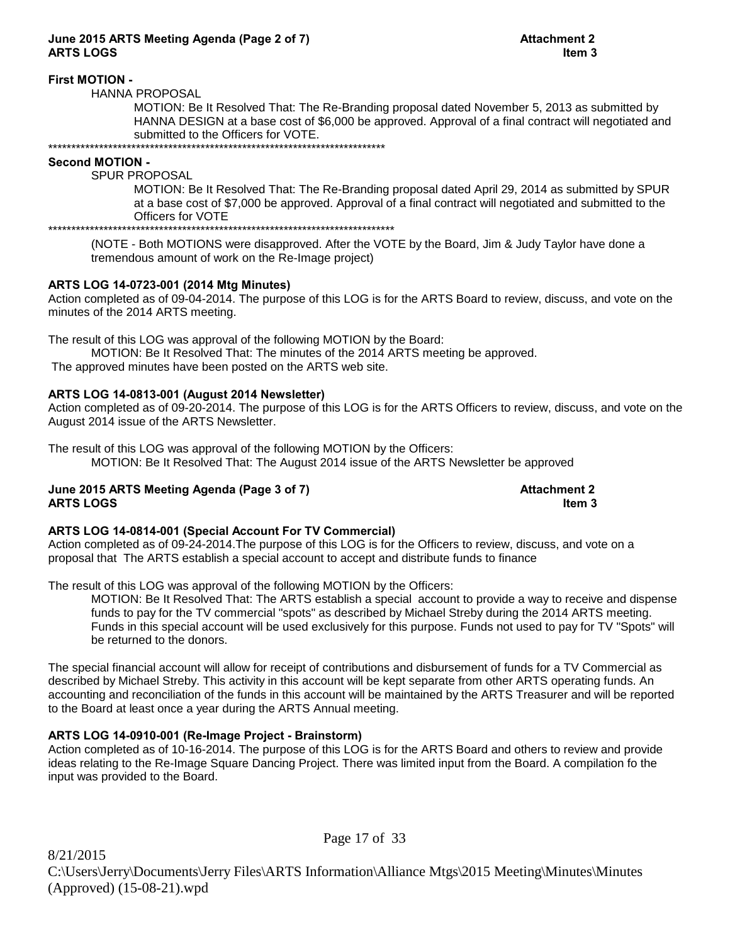# **June 2015 ARTS Meeting Agenda (Page 2 of 7) Attachment 2 ARTS LOGS Item 3**

# **First MOTION -**

HANNA PROPOSAL

MOTION: Be It Resolved That: The Re-Branding proposal dated November 5, 2013 as submitted by HANNA DESIGN at a base cost of \$6,000 be approved. Approval of a final contract will negotiated and submitted to the Officers for VOTE. \*\*\*\*\*\*\*\*\*\*\*\*\*\*\*\*\*\*\*\*\*\*\*\*\*\*\*\*\*\*\*\*\*\*\*\*\*\*\*\*\*\*\*\*\*\*\*\*\*\*\*\*\*\*\*\*\*\*\*\*\*\*\*\*\*\*\*\*\*\*\*\*\*

### **Second MOTION -**

SPUR PROPOSAL

MOTION: Be It Resolved That: The Re-Branding proposal dated April 29, 2014 as submitted by SPUR at a base cost of \$7,000 be approved. Approval of a final contract will negotiated and submitted to the Officers for VOTE

\*\*\*\*\*\*\*\*\*\*\*\*\*\*\*\*\*\*\*\*\*\*\*\*\*\*\*\*\*\*\*\*\*\*\*\*\*\*\*\*\*\*\*\*\*\*\*\*\*\*\*\*\*\*\*\*\*\*\*\*\*\*\*\*\*\*\*\*\*\*\*\*\*\*\*

(NOTE - Both MOTIONS were disapproved. After the VOTE by the Board, Jim & Judy Taylor have done a tremendous amount of work on the Re-Image project)

# **ARTS LOG 14-0723-001 (2014 Mtg Minutes)**

Action completed as of 09-04-2014. The purpose of this LOG is for the ARTS Board to review, discuss, and vote on the minutes of the 2014 ARTS meeting.

The result of this LOG was approval of the following MOTION by the Board:

MOTION: Be It Resolved That: The minutes of the 2014 ARTS meeting be approved. The approved minutes have been posted on the ARTS web site.

# **ARTS LOG 14-0813-001 (August 2014 Newsletter)**

Action completed as of 09-20-2014. The purpose of this LOG is for the ARTS Officers to review, discuss, and vote on the August 2014 issue of the ARTS Newsletter.

The result of this LOG was approval of the following MOTION by the Officers: MOTION: Be It Resolved That: The August 2014 issue of the ARTS Newsletter be approved

### **June 2015 ARTS Meeting Agenda (Page 3 of 7) Attachment 2 ARTS LOGS Item 3**

# **ARTS LOG 14-0814-001 (Special Account For TV Commercial)**

Action completed as of 09-24-2014.The purpose of this LOG is for the Officers to review, discuss, and vote on a proposal that The ARTS establish a special account to accept and distribute funds to finance

The result of this LOG was approval of the following MOTION by the Officers:

MOTION: Be It Resolved That: The ARTS establish a special account to provide a way to receive and dispense funds to pay for the TV commercial "spots" as described by Michael Streby during the 2014 ARTS meeting. Funds in this special account will be used exclusively for this purpose. Funds not used to pay for TV "Spots" will be returned to the donors.

The special financial account will allow for receipt of contributions and disbursement of funds for a TV Commercial as described by Michael Streby. This activity in this account will be kept separate from other ARTS operating funds. An accounting and reconciliation of the funds in this account will be maintained by the ARTS Treasurer and will be reported to the Board at least once a year during the ARTS Annual meeting.

# **ARTS LOG 14-0910-001 (Re-Image Project - Brainstorm)**

Action completed as of 10-16-2014. The purpose of this LOG is for the ARTS Board and others to review and provide ideas relating to the Re-Image Square Dancing Project. There was limited input from the Board. A compilation fo the input was provided to the Board.

Page 17 of 33 8/21/2015 C:\Users\Jerry\Documents\Jerry Files\ARTS Information\Alliance Mtgs\2015 Meeting\Minutes\Minutes (Approved) (15-08-21).wpd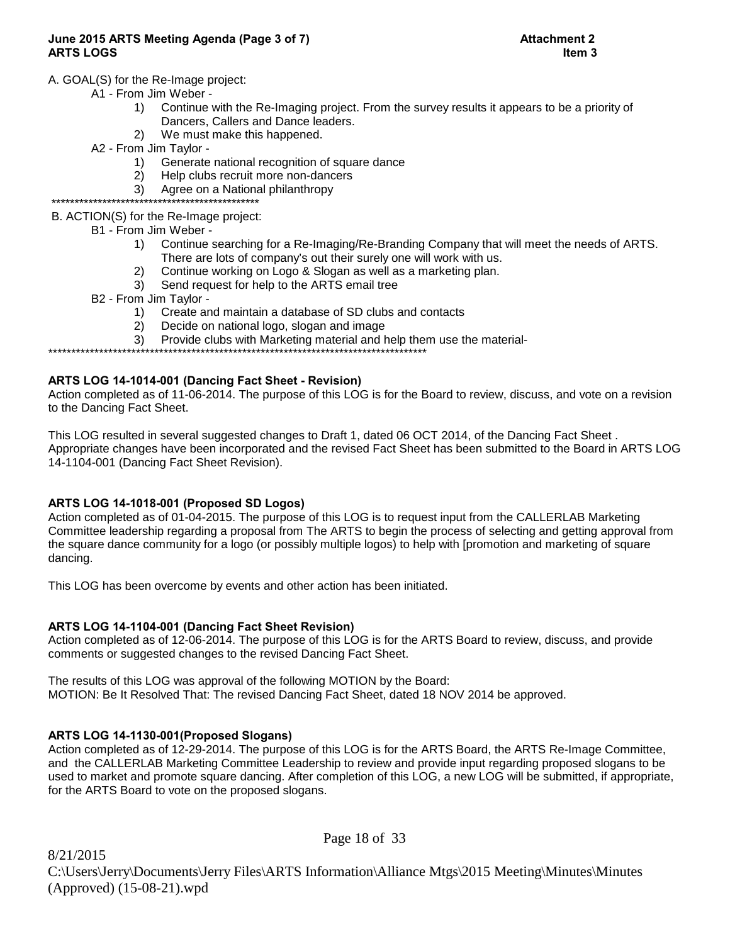# **June 2015 ARTS Meeting Agenda (Page 3 of 7) Attachment 2 ARTS LOGS Item 3**

# A. GOAL(S) for the Re-Image project:

- A1 From Jim Weber
	- 1) Continue with the Re-Imaging project. From the survey results it appears to be a priority of Dancers, Callers and Dance leaders.
	- 2) We must make this happened.
- A2 From Jim Taylor
	- 1) Generate national recognition of square dance
	- 2) Help clubs recruit more non-dancers
	- 3) Agree on a National philanthropy

 \*\*\*\*\*\*\*\*\*\*\*\*\*\*\*\*\*\*\*\*\*\*\*\*\*\*\*\*\*\*\*\*\*\*\*\*\*\*\*\*\*\*\*\*\* B. ACTION(S) for the Re-Image project:

- B1 From Jim Weber
	- 1) Continue searching for a Re-Imaging/Re-Branding Company that will meet the needs of ARTS. There are lots of company's out their surely one will work with us.
	- 2) Continue working on Logo & Slogan as well as a marketing plan.
	- 3) Send request for help to the ARTS email tree
- B2 From Jim Taylor
	- 1) Create and maintain a database of SD clubs and contacts
	- 2) Decide on national logo, slogan and image
	- 3) Provide clubs with Marketing material and help them use the material-

\*\*\*\*\*\*\*\*\*\*\*\*\*\*\*\*\*\*\*\*\*\*\*\*\*\*\*\*\*\*\*\*\*\*\*\*\*\*\*\*\*\*\*\*\*\*\*\*\*\*\*\*\*\*\*\*\*\*\*\*\*\*\*\*\*\*\*\*\*\*\*\*\*\*\*\*\*\*\*\*\*\*

# **ARTS LOG 14-1014-001 (Dancing Fact Sheet - Revision)**

Action completed as of 11-06-2014. The purpose of this LOG is for the Board to review, discuss, and vote on a revision to the Dancing Fact Sheet.

This LOG resulted in several suggested changes to Draft 1, dated 06 OCT 2014, of the Dancing Fact Sheet . Appropriate changes have been incorporated and the revised Fact Sheet has been submitted to the Board in ARTS LOG 14-1104-001 (Dancing Fact Sheet Revision).

# **ARTS LOG 14-1018-001 (Proposed SD Logos)**

Action completed as of 01-04-2015. The purpose of this LOG is to request input from the CALLERLAB Marketing Committee leadership regarding a proposal from The ARTS to begin the process of selecting and getting approval from the square dance community for a logo (or possibly multiple logos) to help with [promotion and marketing of square dancing.

This LOG has been overcome by events and other action has been initiated.

# **ARTS LOG 14-1104-001 (Dancing Fact Sheet Revision)**

Action completed as of 12-06-2014. The purpose of this LOG is for the ARTS Board to review, discuss, and provide comments or suggested changes to the revised Dancing Fact Sheet.

The results of this LOG was approval of the following MOTION by the Board: MOTION: Be It Resolved That: The revised Dancing Fact Sheet, dated 18 NOV 2014 be approved.

# **ARTS LOG 14-1130-001(Proposed Slogans)**

Action completed as of 12-29-2014. The purpose of this LOG is for the ARTS Board, the ARTS Re-Image Committee, and the CALLERLAB Marketing Committee Leadership to review and provide input regarding proposed slogans to be used to market and promote square dancing. After completion of this LOG, a new LOG will be submitted, if appropriate, for the ARTS Board to vote on the proposed slogans.

8/21/2015 C:\Users\Jerry\Documents\Jerry Files\ARTS Information\Alliance Mtgs\2015 Meeting\Minutes\Minutes (Approved) (15-08-21).wpd

Page 18 of 33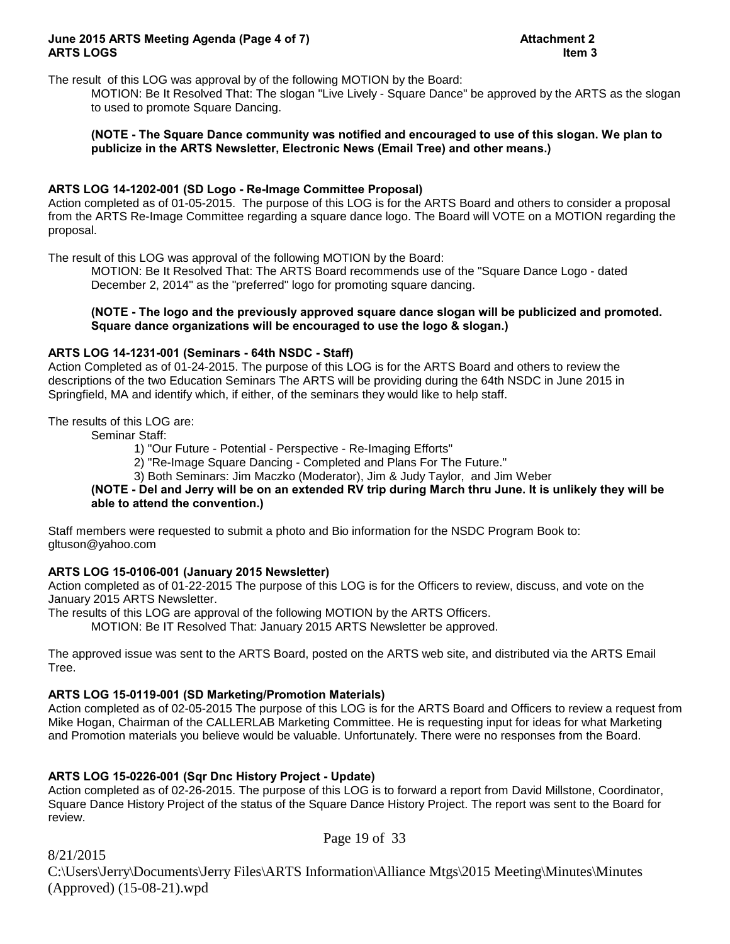### **June 2015 ARTS Meeting Agenda (Page 4 of 7) Attachment 2 ARTS LOGS Item 3**

The result of this LOG was approval by of the following MOTION by the Board:

MOTION: Be It Resolved That: The slogan "Live Lively - Square Dance" be approved by the ARTS as the slogan to used to promote Square Dancing.

# **(NOTE - The Square Dance community was notified and encouraged to use of this slogan. We plan to publicize in the ARTS Newsletter, Electronic News (Email Tree) and other means.)**

### **ARTS LOG 14-1202-001 (SD Logo - Re-Image Committee Proposal)**

Action completed as of 01-05-2015. The purpose of this LOG is for the ARTS Board and others to consider a proposal from the ARTS Re-Image Committee regarding a square dance logo. The Board will VOTE on a MOTION regarding the proposal.

The result of this LOG was approval of the following MOTION by the Board:

MOTION: Be It Resolved That: The ARTS Board recommends use of the "Square Dance Logo - dated December 2, 2014" as the "preferred" logo for promoting square dancing.

### **(NOTE - The logo and the previously approved square dance slogan will be publicized and promoted. Square dance organizations will be encouraged to use the logo & slogan.)**

# **ARTS LOG 14-1231-001 (Seminars - 64th NSDC - Staff)**

Action Completed as of 01-24-2015. The purpose of this LOG is for the ARTS Board and others to review the descriptions of the two Education Seminars The ARTS will be providing during the 64th NSDC in June 2015 in Springfield, MA and identify which, if either, of the seminars they would like to help staff.

The results of this LOG are:

Seminar Staff:

1) "Our Future - Potential - Perspective - Re-Imaging Efforts"

2) "Re-Image Square Dancing - Completed and Plans For The Future."

3) Both Seminars: Jim Maczko (Moderator), Jim & Judy Taylor, and Jim Weber

# **(NOTE - Del and Jerry will be on an extended RV trip during March thru June. It is unlikely they will be able to attend the convention.)**

Staff members were requested to submit a photo and Bio information for the NSDC Program Book to: gltuson@yahoo.com

# **ARTS LOG 15-0106-001 (January 2015 Newsletter)**

Action completed as of 01-22-2015 The purpose of this LOG is for the Officers to review, discuss, and vote on the January 2015 ARTS Newsletter.

The results of this LOG are approval of the following MOTION by the ARTS Officers.

MOTION: Be IT Resolved That: January 2015 ARTS Newsletter be approved.

The approved issue was sent to the ARTS Board, posted on the ARTS web site, and distributed via the ARTS Email Tree.

# **ARTS LOG 15-0119-001 (SD Marketing/Promotion Materials)**

Action completed as of 02-05-2015 The purpose of this LOG is for the ARTS Board and Officers to review a request from Mike Hogan, Chairman of the CALLERLAB Marketing Committee. He is requesting input for ideas for what Marketing and Promotion materials you believe would be valuable. Unfortunately. There were no responses from the Board.

# **ARTS LOG 15-0226-001 (Sqr Dnc History Project - Update)**

Action completed as of 02-26-2015. The purpose of this LOG is to forward a report from David Millstone, Coordinator, Square Dance History Project of the status of the Square Dance History Project. The report was sent to the Board for review.

Page 19 of 33

8/21/2015

C:\Users\Jerry\Documents\Jerry Files\ARTS Information\Alliance Mtgs\2015 Meeting\Minutes\Minutes (Approved) (15-08-21).wpd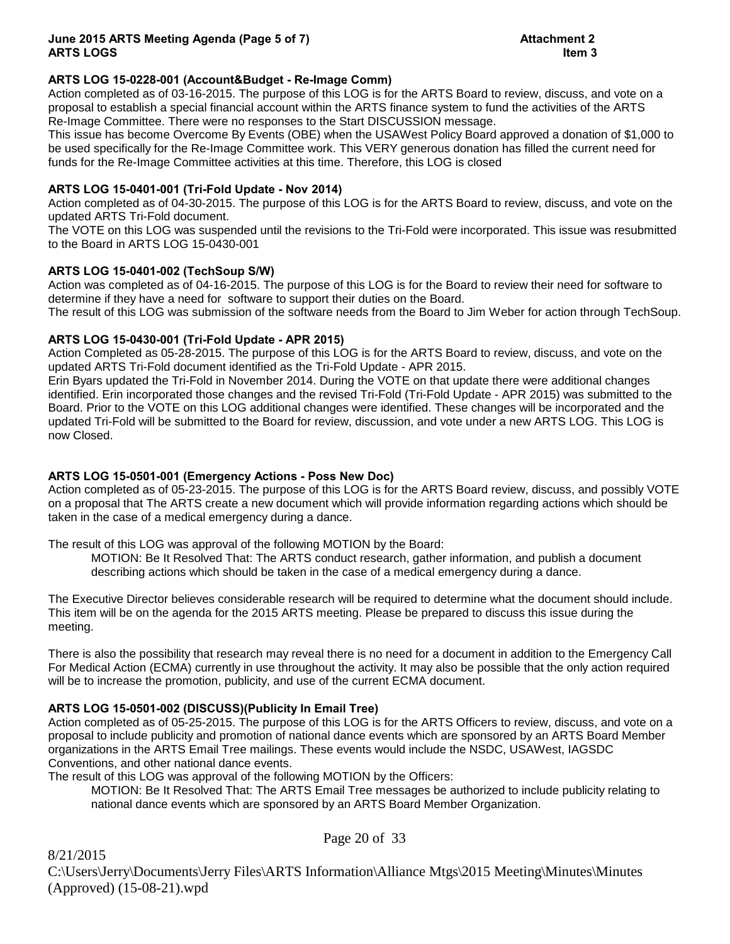# **ARTS LOG 15-0228-001 (Account&Budget - Re-Image Comm)**

Action completed as of 03-16-2015. The purpose of this LOG is for the ARTS Board to review, discuss, and vote on a proposal to establish a special financial account within the ARTS finance system to fund the activities of the ARTS Re-Image Committee. There were no responses to the Start DISCUSSION message.

This issue has become Overcome By Events (OBE) when the USAWest Policy Board approved a donation of \$1,000 to be used specifically for the Re-Image Committee work. This VERY generous donation has filled the current need for funds for the Re-Image Committee activities at this time. Therefore, this LOG is closed

# **ARTS LOG 15-0401-001 (Tri-Fold Update - Nov 2014)**

Action completed as of 04-30-2015. The purpose of this LOG is for the ARTS Board to review, discuss, and vote on the updated ARTS Tri-Fold document.

The VOTE on this LOG was suspended until the revisions to the Tri-Fold were incorporated. This issue was resubmitted to the Board in ARTS LOG 15-0430-001

# **ARTS LOG 15-0401-002 (TechSoup S/W)**

Action was completed as of 04-16-2015. The purpose of this LOG is for the Board to review their need for software to determine if they have a need for software to support their duties on the Board.

The result of this LOG was submission of the software needs from the Board to Jim Weber for action through TechSoup.

# **ARTS LOG 15-0430-001 (Tri-Fold Update - APR 2015)**

Action Completed as 05-28-2015. The purpose of this LOG is for the ARTS Board to review, discuss, and vote on the updated ARTS Tri-Fold document identified as the Tri-Fold Update - APR 2015.

Erin Byars updated the Tri-Fold in November 2014. During the VOTE on that update there were additional changes identified. Erin incorporated those changes and the revised Tri-Fold (Tri-Fold Update - APR 2015) was submitted to the Board. Prior to the VOTE on this LOG additional changes were identified. These changes will be incorporated and the updated Tri-Fold will be submitted to the Board for review, discussion, and vote under a new ARTS LOG. This LOG is now Closed.

# **ARTS LOG 15-0501-001 (Emergency Actions - Poss New Doc)**

Action completed as of 05-23-2015. The purpose of this LOG is for the ARTS Board review, discuss, and possibly VOTE on a proposal that The ARTS create a new document which will provide information regarding actions which should be taken in the case of a medical emergency during a dance.

The result of this LOG was approval of the following MOTION by the Board:

MOTION: Be It Resolved That: The ARTS conduct research, gather information, and publish a document describing actions which should be taken in the case of a medical emergency during a dance.

The Executive Director believes considerable research will be required to determine what the document should include. This item will be on the agenda for the 2015 ARTS meeting. Please be prepared to discuss this issue during the meeting.

There is also the possibility that research may reveal there is no need for a document in addition to the Emergency Call For Medical Action (ECMA) currently in use throughout the activity. It may also be possible that the only action required will be to increase the promotion, publicity, and use of the current ECMA document.

# **ARTS LOG 15-0501-002 (DISCUSS)(Publicity In Email Tree)**

8/21/2015

Action completed as of 05-25-2015. The purpose of this LOG is for the ARTS Officers to review, discuss, and vote on a proposal to include publicity and promotion of national dance events which are sponsored by an ARTS Board Member organizations in the ARTS Email Tree mailings. These events would include the NSDC, USAWest, IAGSDC Conventions, and other national dance events.

The result of this LOG was approval of the following MOTION by the Officers:

MOTION: Be It Resolved That: The ARTS Email Tree messages be authorized to include publicity relating to national dance events which are sponsored by an ARTS Board Member Organization.

Page 20 of 33

C:\Users\Jerry\Documents\Jerry Files\ARTS Information\Alliance Mtgs\2015 Meeting\Minutes\Minutes (Approved) (15-08-21).wpd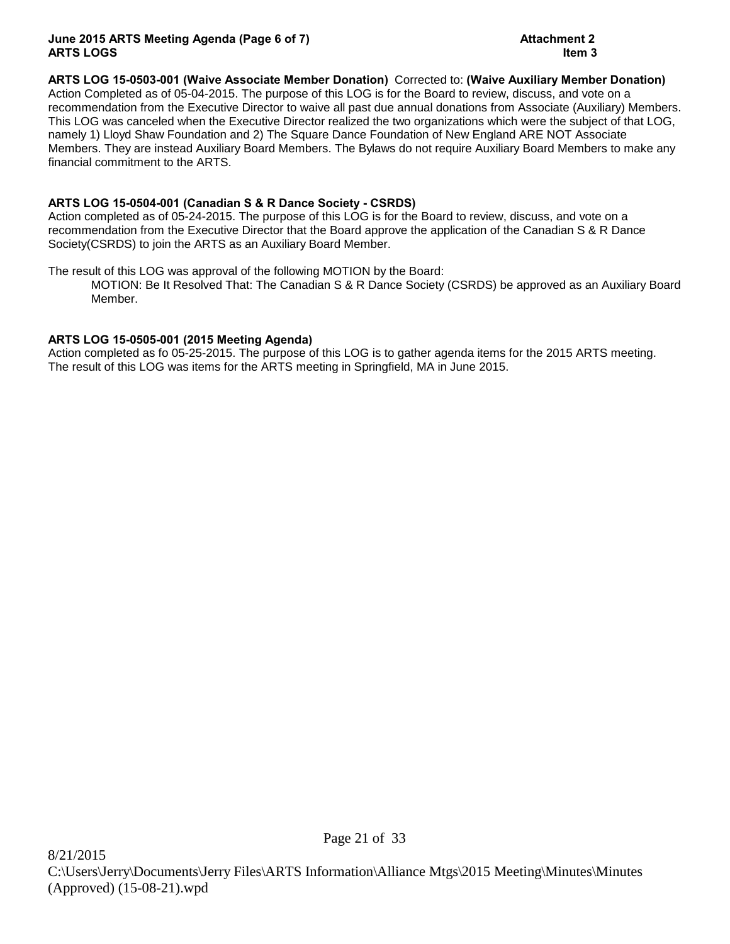# **ARTS LOG 15-0503-001 (Waive Associate Member Donation)** Corrected to: **(Waive Auxiliary Member Donation)**

Action Completed as of 05-04-2015. The purpose of this LOG is for the Board to review, discuss, and vote on a recommendation from the Executive Director to waive all past due annual donations from Associate (Auxiliary) Members. This LOG was canceled when the Executive Director realized the two organizations which were the subject of that LOG, namely 1) Lloyd Shaw Foundation and 2) The Square Dance Foundation of New England ARE NOT Associate Members. They are instead Auxiliary Board Members. The Bylaws do not require Auxiliary Board Members to make any financial commitment to the ARTS.

# **ARTS LOG 15-0504-001 (Canadian S & R Dance Society - CSRDS)**

Action completed as of 05-24-2015. The purpose of this LOG is for the Board to review, discuss, and vote on a recommendation from the Executive Director that the Board approve the application of the Canadian S & R Dance Society(CSRDS) to join the ARTS as an Auxiliary Board Member.

The result of this LOG was approval of the following MOTION by the Board:

MOTION: Be It Resolved That: The Canadian S & R Dance Society (CSRDS) be approved as an Auxiliary Board Member.

# **ARTS LOG 15-0505-001 (2015 Meeting Agenda)**

Action completed as fo 05-25-2015. The purpose of this LOG is to gather agenda items for the 2015 ARTS meeting. The result of this LOG was items for the ARTS meeting in Springfield, MA in June 2015.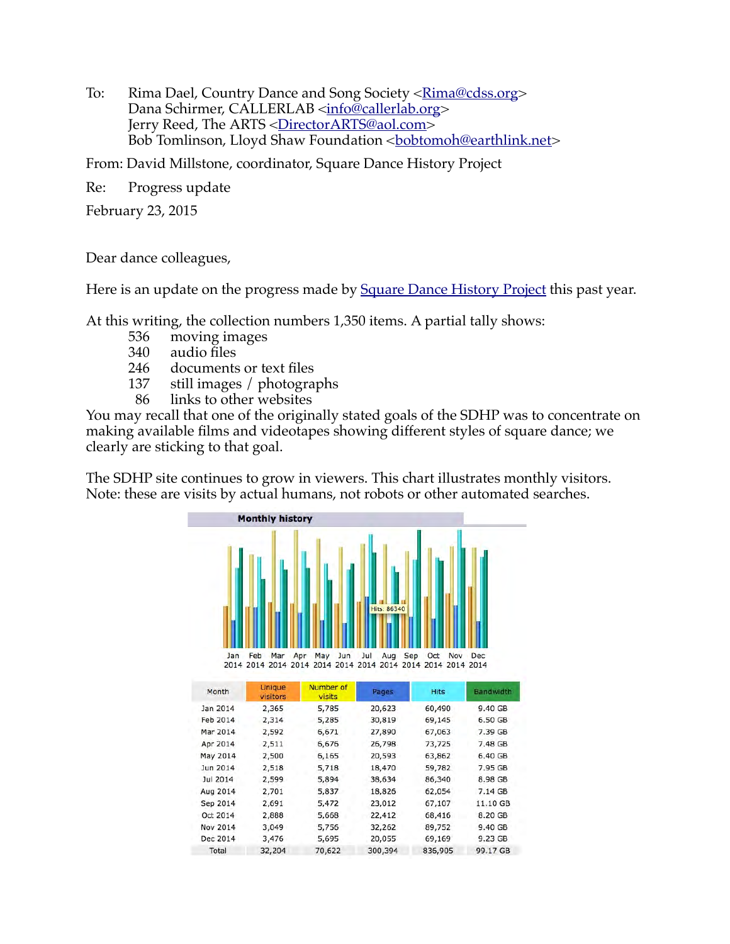To: Rima Dael, Country Dance and Song Society [<Rima@cdss.org>](mailto:Rima@cdss.org) Dana Schirmer, CALLERLAB [<info@callerlab.org>](mailto:info@callerlab.org) Jerry Reed, The ARTS [<DirectorARTS@aol.com>](mailto:DirectorARTS@aol.com) Bob Tomlinson, Lloyd Shaw Foundation <br/>bobtomoh@earthlink.net>

From: David Millstone, coordinator, Square Dance History Project

Re: Progress update

February 23, 2015

Dear dance colleagues,

Here is an update on the progress made by [Square Dance History Project](http://squaredancehistory.org/) this past year.

At this writing, the collection numbers 1,350 items. A partial tally shows:

- 536 moving images
- 340 audio files
- 246 documents or text files
- 137 still images / photographs
- 86 links to other websites

Nov 2014

Dec 2014

3,049

3.476

5,756

5,695

Total 32,204 70,622 300,394 836,905 99.17 GB

32,262

20.055

89,752

69.169

9.40 GB

9.23 GB

You may recall that one of the originally stated goals of the SDHP was to concentrate on making available films and videotapes showing different styles of square dance; we clearly are sticking to that goal.

The SDHP site continues to grow in viewers. This chart illustrates monthly visitors. Note: these are visits by actual humans, not robots or other automated searches.

|                                                                                              | <b>Monthly history</b>      |                                |                    |             |            |
|----------------------------------------------------------------------------------------------|-----------------------------|--------------------------------|--------------------|-------------|------------|
|                                                                                              |                             |                                | <b>Hits: 86340</b> |             |            |
| Jan                                                                                          | Mar<br>Feb<br><b>Unique</b> | Jun<br>Apr<br>May<br>Number of | Jul<br>Aug<br>Sep  | Oct<br>Nov  | <b>Dec</b> |
| Month                                                                                        |                             |                                |                    |             |            |
|                                                                                              | visitors                    | <b>visits</b>                  | Pages              | <b>Hits</b> | Bandwidth  |
|                                                                                              | 2,365                       | 5,785                          | 20,623             | 60,490      | 9.40 GB    |
|                                                                                              | 2,314                       | 5,285                          | 30,819             | 69,145      | 6.50 GB    |
|                                                                                              | 2,592                       | 6,671                          | 27,890             | 67,063      | 7.39 GB    |
|                                                                                              | 2,511                       | 6,676                          | 26,798             | 73,725      | 7.48 GB    |
|                                                                                              | 2,500                       | 6,165                          | 20,593             | 63,862      | 6.40 GB    |
|                                                                                              | 2,518                       | 5,718                          | 18,470             | 59,782      | 7.95 GB    |
| Jul 2014                                                                                     | 2,599                       | 5,894                          | 38,634             | 86,340      | 8.98 GB    |
|                                                                                              | 2,701                       | 5,837                          | 18,826             | 62,054      | 7.14 GB    |
| Jan 2014<br>Feb 2014<br>Mar 2014<br>Apr 2014<br>May 2014<br>Jun 2014<br>Aug 2014<br>Sep 2014 | 2,691                       | 5,472                          | 23,012             | 67,107      | 11.10 GB   |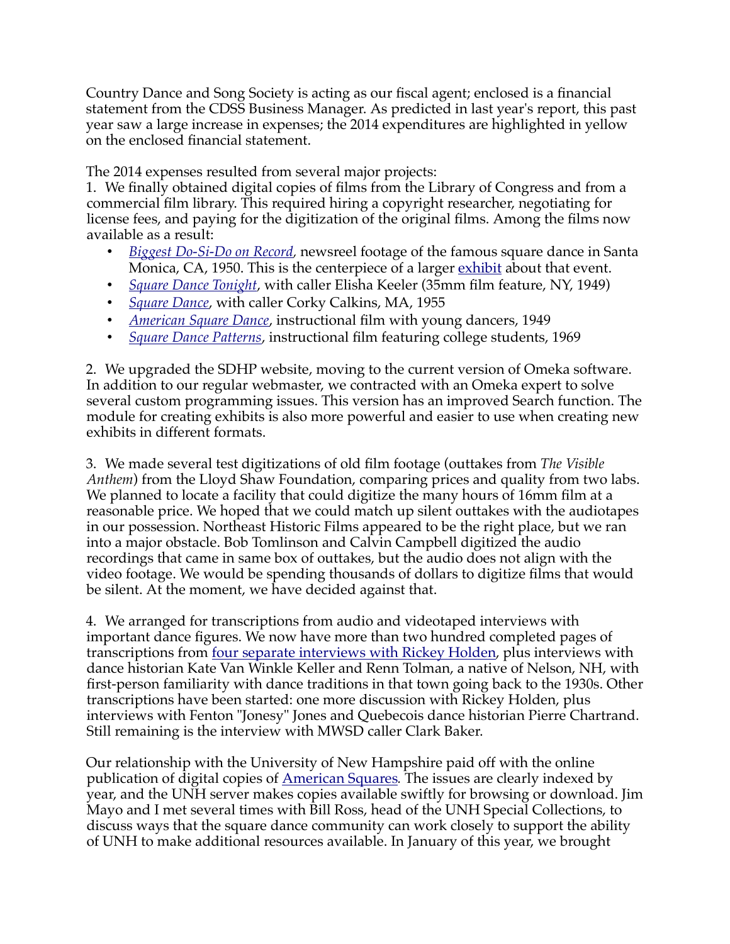Country Dance and Song Society is acting as our fiscal agent; enclosed is a financial statement from the CDSS Business Manager. As predicted in last year's report, this past year saw a large increase in expenses; the 2014 expenditures are highlighted in yellow on the enclosed financial statement.

The 2014 expenses resulted from several major projects:

1. We finally obtained digital copies of films from the Library of Congress and from a commercial film library. This required hiring a copyright researcher, negotiating for license fees, and paying for the digitization of the original films. Among the films now available as a result:

- • *[Biggest Do-Si-Do on Record,](http://squaredancehistory.org/items/show/1311)* newsreel footage of the famous square dance in Santa Monica, CA, 1950. This is the centerpiece of a larger *exhibit* about that event.
- • *[Square Dance Tonight](http://squaredancehistory.org/items/show/1406)*, with caller Elisha Keeler (35mm film feature, NY, 1949)
- • *[Square Dance](http://squaredancehistory.org/items/show/1408)*, with caller Corky Calkins, MA, 1955
- • *[American Square Dance](http://squaredancehistory.org/items/show/1410)*, instructional film with young dancers, 1949
- • *[Square Dance Patterns](http://squaredancehistory.org/items/show/1409)*, instructional film featuring college students, 1969

2. We upgraded the SDHP website, moving to the current version of Omeka software. In addition to our regular webmaster, we contracted with an Omeka expert to solve several custom programming issues. This version has an improved Search function. The module for creating exhibits is also more powerful and easier to use when creating new exhibits in different formats.

3. We made several test digitizations of old film footage (outtakes from *The Visible Anthem*) from the Lloyd Shaw Foundation, comparing prices and quality from two labs. We planned to locate a facility that could digitize the many hours of 16mm film at a reasonable price. We hoped that we could match up silent outtakes with the audiotapes in our possession. Northeast Historic Films appeared to be the right place, but we ran into a major obstacle. Bob Tomlinson and Calvin Campbell digitized the audio recordings that came in same box of outtakes, but the audio does not align with the video footage. We would be spending thousands of dollars to digitize films that would be silent. At the moment, we have decided against that.

4. We arranged for transcriptions from audio and videotaped interviews with important dance figures. We now have more than two hundred completed pages of transcriptions from <u>four separate interviews with Rickey Holden</u>, plus interviews with dance historian Kate Van Winkle Keller and Renn Tolman, a native of Nelson, NH, with first-person familiarity with dance traditions in that town going back to the 1930s. Other transcriptions have been started: one more discussion with Rickey Holden, plus interviews with Fenton "Jonesy" Jones and Quebecois dance historian Pierre Chartrand. Still remaining is the interview with MWSD caller Clark Baker.

Our relationship with the University of New Hampshire paid off with the online publication of digital copies of [American Squares](http://www.library.unh.edu/digital/islandora/solr/search/%20/1/-date:%221945%22~~~category:Music%5C%20%26%5C%20Dance~slsh~American%5C%20Squares*~/dismax)*.* The issues are clearly indexed by year, and the UNH server makes copies available swiftly for browsing or download. Jim Mayo and I met several times with Bill Ross, head of the UNH Special Collections, to discuss ways that the square dance community can work closely to support the ability of UNH to make additional resources available. In January of this year, we brought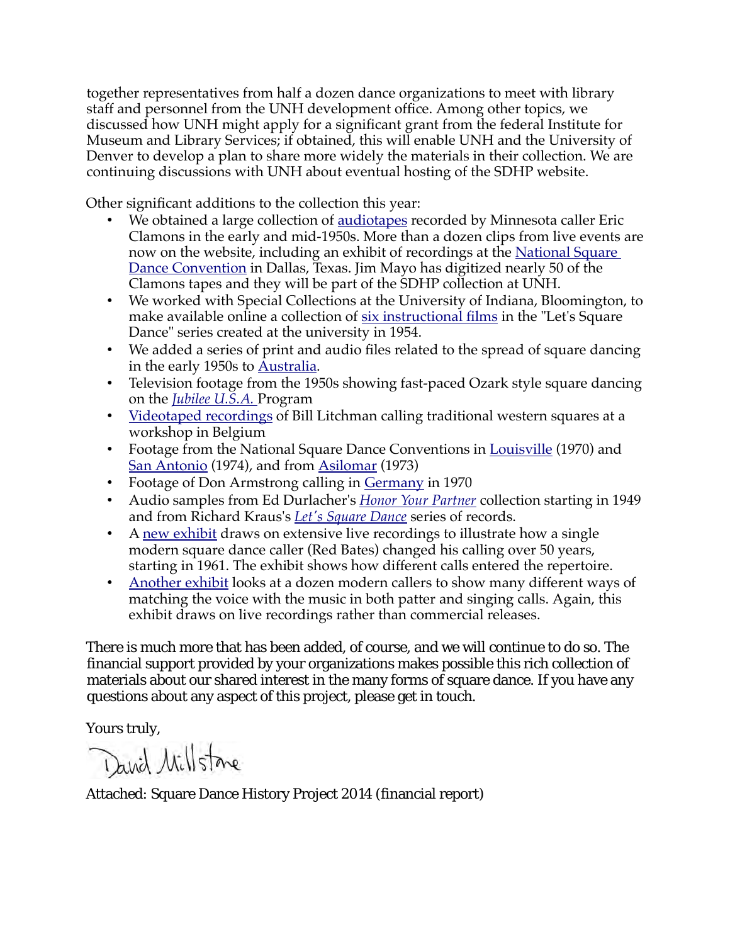together representatives from half a dozen dance organizations to meet with library staff and personnel from the UNH development office. Among other topics, we discussed how UNH might apply for a significant grant from the federal Institute for Museum and Library Services; if obtained, this will enable UNH and the University of Denver to develop a plan to share more widely the materials in their collection. We are continuing discussions with UNH about eventual hosting of the SDHP website.

Other significant additions to the collection this year:

- We obtained a large collection of [audiotapes](http://squaredancehistory.org/items/browse?search=&advanced[0][element_id]=37&advanced[0][type]=contains&advanced[0][terms]=Clamons&range=&collection=&type=5&user=&tags=&public=&featured=&exhibit=&submit_search=Search) recorded by Minnesota caller Eric Clamons in the early and mid-1950s. More than a dozen clips from live events are now on the website, including an exhibit of recordings at the [National Square](http://squaredancehistory.org/exhibits/show/3rd-national-square-dance-conv) [Dance Convention](http://squaredancehistory.org/exhibits/show/3rd-national-square-dance-conv) in Dallas, Texas. Jim Mayo has digitized nearly 50 of the Clamons tapes and they will be part of the SDHP collection at UNH.
- We worked with Special Collections at the University of Indiana, Bloomington, to make available online a collection of [six instructional films](http://squaredancehistory.org/items/show/1225) in the "Let's Square Dance" series created at the university in 1954.
- We added a series of print and audio files related to the spread of square dancing in the early 1950s to [Australia.](http://squaredancehistory.org/search?query=australia)
- Television footage from the 1950s showing fast-paced Ozark style square dancing on the *[Jubilee U.S.A.](http://squaredancehistory.org/items/show/1236)* Program
- • [Videotaped recordings](http://squaredancehistory.org/items/browse?search=&advanced[0][element_id]=41&advanced[0][type]=contains&advanced[0][terms]=belgium&range=&collection=&type=&user=&tags=&public=&featured=&exhibit=&submit_search=Search) of Bill Litchman calling traditional western squares at a workshop in Belgium
- Footage from the National Square Dance Conventions in [Louisville](http://squaredancehistory.org/items/show/1292) (1970) and [San Antonio](http://squaredancehistory.org/items/show/1298) (1974), and from [Asilomar](http://squaredancehistory.org/items/show/1267) (1973)
- Footage of Don Armstrong calling in [Germany](http://squaredancehistory.org/items/browse?search=&advanced[0][element_id]=50&advanced[0][type]=contains&advanced[0][terms]=Don+Armstrong&advanced[1][element_id]=50&advanced[1][type]=does+not+contain&advanced[1][terms]=Paddock&range=&collection=&type=3&user=&tags=&public=&featured=&exhibit=&item_relations_clause_part=subject&item_relations_property_id=&submit_search=Search+for+items) in 1970
- Audio samples from Ed Durlacher's *[Honor Your Partner](http://squaredancehistory.org/items/browse?search=&advanced[0][element_id]=50&advanced[0][type]=contains&advanced[0][terms]=Ed+Durlacher&range=&collection=&type=5&user=&tags=&public=&featured=&exhibit=&submit_search=Search)* collection starting in 1949 and from Richard Kraus's *[Let's Square Dance](http://squaredancehistory.org/items/browse?search=&advanced[0][element_id]=50&advanced[0][type]=contains&advanced[0][terms]=Richard+Kraus&range=&collection=&type=5&user=&tags=&public=&featured=&exhibit=&item_relations_clause_part=subject&item_relations_property_id=&submit_search=Search+for+items)* series of records.
- A [new exhibit](http://squaredancehistory.org/exhibits/show/mwsd-changes) draws on extensive live recordings to illustrate how a single modern square dance caller (Red Bates) changed his calling over 50 years, starting in 1961. The exhibit shows how different calls entered the repertoire.
- • [Another exhibit](http://squaredancehistory.org/exhibits/show/mwsd-calling-styles---matching) looks at a dozen modern callers to show many different ways of matching the voice with the music in both patter and singing calls. Again, this exhibit draws on live recordings rather than commercial releases.

There is much more that has been added, of course, and we will continue to do so. The financial support provided by your organizations makes possible this rich collection of materials about our shared interest in the many forms of square dance. If you have any questions about any aspect of this project, please get in touch.

Yours truly,

David Millstone

Attached: Square Dance History Project 2014 (financial report)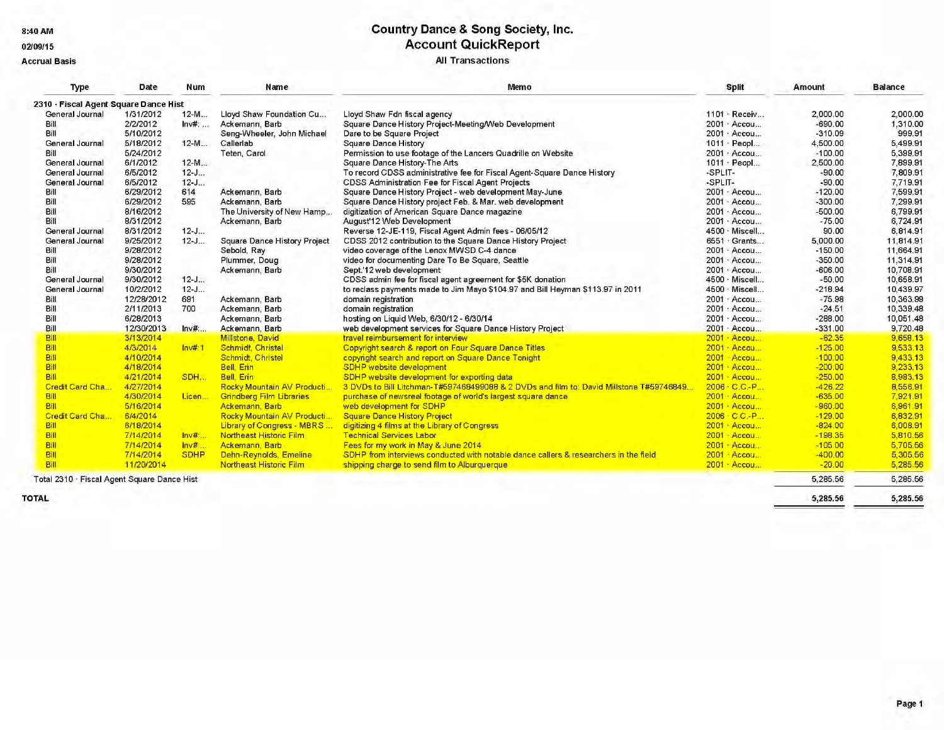8:40 AM

#### 02/09/15

**Accrual Basis** 

# **Country Dance & Song Society, Inc.<br>Account QuickReport All Transactions**

| Type                                        | Date       | <b>Num</b>   | Name                                | Memo                                                                                    |         | <b>Split</b>       | <b>Amount</b> | <b>Balance</b> |
|---------------------------------------------|------------|--------------|-------------------------------------|-----------------------------------------------------------------------------------------|---------|--------------------|---------------|----------------|
| 2310 - Fiscal Agent Square Dance Hist       |            |              |                                     |                                                                                         |         |                    |               |                |
| General Journal                             | 1/31/2012  | $12-M$       | Lloyd Shaw Foundation Cu            | Lloyd Shaw Fdn fiscal agency                                                            |         | 1101 · Receiv      | 2,000.00      | 2,000.00       |
| Bill                                        | 2/2/2012   | Inv#:        | Ackemann, Barb                      | Square Dance History Project-Meeting/Web Development                                    |         | 2001 · Accou       | $-690.00$     | 1,310.00       |
| Bill                                        | 5/10/2012  |              | Seng-Wheeler, John Michael          | Dare to be Square Project                                                               |         | 2001 · Accou       | $-310.09$     | 999.91         |
| General Journal                             | 5/18/2012  | $12-M$       | Callerlab                           | <b>Square Dance History</b>                                                             |         | 1011 · Peopl       | 4,500.00      | 5.499.91       |
| Bill                                        | 5/24/2012  |              | Teten, Carol                        | Permission to use footage of the Lancers Quadrille on Website                           |         | 2001 · Accou       | $-100.00$     | 5.399.91       |
| General Journal                             | 6/1/2012   | $12-M$       |                                     | Square Dance History-The Arts                                                           |         | 1011 · Peopl       | 2,500.00      | 7,899.91       |
| General Journal                             | 6/5/2012   | $12 - J$     |                                     | To record CDSS administrative fee for Fiscal Agent-Square Dance History                 | -SPLIT- |                    | $-90.00$      | 7.809.91       |
| General Journal                             | 6/5/2012   | $12 - J$     |                                     | CDSS Administration Fee for Fiscal Agent Projects                                       | -SPLIT- |                    | $-90.00$      | 7.719.91       |
| Bill                                        | 6/29/2012  | 614          | Ackemann, Barb                      | Square Dance History Project - web development May-June                                 |         | 2001 · Accou       | $-120.00$     | 7,599.91       |
| Bill                                        | 6/29/2012  | 595          | Ackemann, Barb                      | Square Dance History project Feb. & Mar. web development                                |         | 2001 · Accou       | $-300.00$     | 7.299.91       |
| Bill                                        | 8/16/2012  |              | The University of New Hamp          | digitization of American Square Dance magazine                                          |         | 2001 · Accou       | $-500.00$     | 6.799.91       |
| Bill                                        | 8/31/2012  |              | Ackemann, Barb                      | August'12 Web Development                                                               |         | 2001 · Accou       | $-75.00$      | 6.724.91       |
| General Journal                             | 8/31/2012  | $12 - J$     |                                     | Reverse 12-JE-119, Fiscal Agent Admin fees - 06/05/12                                   |         | 4500 · Miscell     | 90.00         | 6.814.91       |
| General Journal                             | 9/25/2012  | $12 - J$     | <b>Square Dance History Project</b> | CDSS 2012 contribution to the Square Dance History Project                              |         | 6551 · Grants      | 5,000.00      | 11,814.91      |
| Bill                                        | 9/28/2012  |              | Sebold, Ray                         | video coverage of the Lenox MWSD C-4 dance                                              |         | 2001 · Accou       | $-150.00$     | 11,664.91      |
| Bill                                        | 9/28/2012  |              | Plummer, Doug                       | video for documenting Dare To Be Square, Seattle                                        |         | 2001 · Accou       | $-350.00$     | 11.314.91      |
| Bill                                        | 9/30/2012  |              | Ackemann, Barb                      | Sept.'12 web development                                                                |         | 2001 · Accou       | $-606.00$     | 10.708.91      |
| General Journal                             | 9/30/2012  | $12 - J$     |                                     | CDSS admin fee for fiscal agent agreement for \$5K donation                             |         | 4500 · Miscell     | $-50.00$      | 10.658.91      |
| General Journal                             | 10/2/2012  | $12 - J$     |                                     | to reclass payments made to Jim Mayo \$104.97 and Bill Heyman \$113.97 in 2011          |         | 4500 · Miscell     | $-218.94$     | 10.439.97      |
| Bill                                        | 12/28/2012 | 691          | Ackemann, Barb                      | domain registration                                                                     |         | 2001 · Accou       | $-75.98$      | 10.363.99      |
| Bill                                        | 2/11/2013  | 700          | Ackemann, Barb                      | domain registration                                                                     |         | 2001 · Accou       | $-24.51$      | 10,339.48      |
| Bill                                        | 6/28/2013  |              | Ackemann, Barb                      | hosting on Liquid Web, 6/30/12 - 6/30/14                                                |         | 2001 · Accou       | $-288.00$     | 10.051.48      |
| Bill                                        | 12/30/2013 | $ln v#$      | Ackemann, Barb                      | web development services for Square Dance History Project                               |         | 2001 · Accou       | $-331.00$     | 9.720.48       |
| Bill                                        | 3/13/2014  |              | Millstone, David                    | travel reimbursement for interview                                                      |         | 2001 · Accou       | $-62.35$      | 9.658.13       |
| Bill                                        | 4/3/2014   | Inv#:1       | Schmidt, Christel                   | Copyright search & report on Four Square Dance Titles                                   |         | 2001 · Accou       | $-125.00$     | 9,533.13       |
| Bill                                        | 4/10/2014  |              | Schmidt, Christel                   | copyright search and report on Square Dance Tonight                                     |         | 2001 Accou         | $-100.00$     | 9,433.13       |
| Bill                                        | 4/18/2014  |              | Bell, Erin                          | SDHP website development                                                                |         | 2001 Accou         | $-200.00$     | 9.233.13       |
| Bill                                        | 4/21/2014  | SDH          | Bell, Erin                          | SDHP website development for exporting data                                             |         | $2001 \cdot$ Accou | $-250.00$     | 8.983.13       |
| Credit Card Cha                             | 4/27/2014  |              | Rocky Mountain AV Producti          | 3 DVDs to Bill Litchman-T#597468499088 & 2 DVDs and film to: David Millstone T#59746849 |         | 2006 C.C.-P        | $-426.22$     | 8,556.91       |
| Bill                                        | 4/30/2014  | Licen        | <b>Grindberg Film Libraries</b>     | purchase of newsreel footage of world's largest square dance                            |         | 2001 - Accou       | $-635.00$     | 7,921.91       |
| <b>Bill</b>                                 | 5/16/2014  |              | Ackemann, Barb                      | web development for SDHP                                                                |         | 2001 · Accou       | $-960.00$     | 6,961.91       |
| Credit Card Cha                             | 6/4/2014   |              | Rocky Mountain AV Producti          | <b>Square Dance History Project</b>                                                     |         | 2006 C.C.-P        | $-129.00$     | 6,832.91       |
| Bill                                        | 6/18/2014  |              | Library of Congress - MBRS          | digitizing 4 films at the Library of Congress                                           |         | 2001 Accou         | $-824.00$     | 6,008.91       |
| Bill                                        | 7/14/2014  | <b>Inv#:</b> | Northeast Historic Film             | <b>Technical Services Labor</b>                                                         |         | 2001 · Accou       | $-198.35$     | 5,810.56       |
| Bill                                        | 7/14/2014  | <b>Inv#:</b> | Ackemann, Barb                      | Fees for my work in May & June 2014                                                     |         | 2001 . Accou       | $-105.00$     | 5,705.56       |
| Bill                                        | 7/14/2014  | <b>SDHP</b>  | Dehn-Reynolds, Emeline              | SDHP from interviews conducted with notable dance callers & researchers in the field    |         | 2001 - Accou       | $-400.00$     | 5,305.56       |
| Bill                                        | 11/20/2014 |              | Northeast Historic Film             | shipping charge to send film to Alburguerque                                            |         | 2001 · Accou       | $-20.00$      | 5,285.56       |
| Total 2310 · Fiscal Agent Square Dance Hist |            |              |                                     |                                                                                         |         |                    | 5,285.56      | 5,285.56       |

**TOTAL** 

5,285.56

5,285.56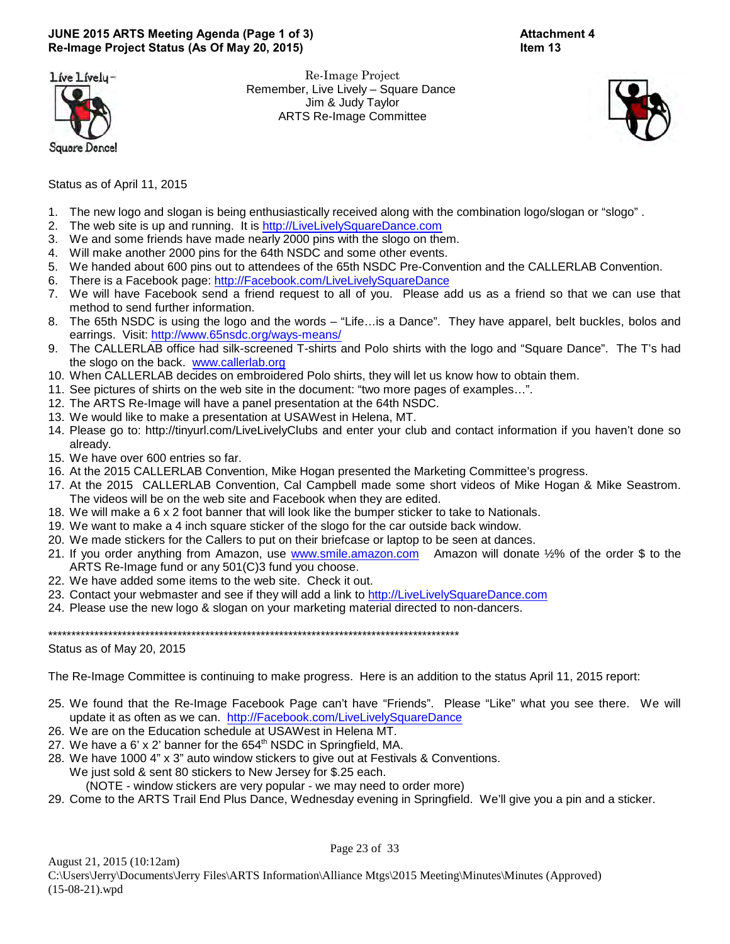# **JUNE 2015 ARTS Meeting Agenda (Page 1 of 3) Attachment 4 Re-Image Project Status (As Of May 20, 2015) Item 13**

Líve Lívely-



Re-Image Project Remember, Live Lively – Square Dance Jim & Judy Taylor ARTS Re-Image Committee





Status as of April 11, 2015

- 1. The new logo and slogan is being enthusiastically received along with the combination logo/slogan or "slogo" .
- 2. The web site is up and running. It is<http://LiveLivelySquareDance.com>
- 3. We and some friends have made nearly 2000 pins with the slogo on them.
- 4. Will make another 2000 pins for the 64th NSDC and some other events.
- 5. We handed about 600 pins out to attendees of the 65th NSDC Pre-Convention and the CALLERLAB Convention.
- 6. There is a Facebook page:<http://Facebook.com/LiveLivelySquareDance>
- 7. We will have Facebook send a friend request to all of you. Please add us as a friend so that we can use that method to send further information.
- 8. The 65th NSDC is using the logo and the words "Life…is a Dance". They have apparel, belt buckles, bolos and earrings. Visit:<http://www.65nsdc.org/ways-means/>
- 9. The CALLERLAB office had silk-screened T-shirts and Polo shirts with the logo and "Square Dance". The T's had the slogo on the back. [www.callerlab.org](http://www.callerlab.org)
- 10. When CALLERLAB decides on embroidered Polo shirts, they will let us know how to obtain them.
- 11. See pictures of shirts on the web site in the document: "two more pages of examples…".
- 12. The ARTS Re-Image will have a panel presentation at the 64th NSDC.
- 13. We would like to make a presentation at USAWest in Helena, MT.
- 14. Please go to: http://tinyurl.com/LiveLivelyClubs and enter your club and contact information if you haven't done so already.
- 15. We have over 600 entries so far.
- 16. At the 2015 CALLERLAB Convention, Mike Hogan presented the Marketing Committee's progress.
- 17. At the 2015 CALLERLAB Convention, Cal Campbell made some short videos of Mike Hogan & Mike Seastrom. The videos will be on the web site and Facebook when they are edited.
- 18. We will make a 6 x 2 foot banner that will look like the bumper sticker to take to Nationals.
- 19. We want to make a 4 inch square sticker of the slogo for the car outside back window.
- 20. We made stickers for the Callers to put on their briefcase or laptop to be seen at dances.
- 21. If you order anything from Amazon, use [www.smile.amazon.com](http://www.smile.amazon.com) Amazon will donate ½% of the order \$ to the ARTS Re-Image fund or any 501(C)3 fund you choose.
- 22. We have added some items to the web site. Check it out.
- 23. Contact your webmaster and see if they will add a link to<http://LiveLivelySquareDance.com>
- 24. Please use the new logo & slogan on your marketing material directed to non-dancers.

\*\*\*\*\*\*\*\*\*\*\*\*\*\*\*\*\*\*\*\*\*\*\*\*\*\*\*\*\*\*\*\*\*\*\*\*\*\*\*\*\*\*\*\*\*\*\*\*\*\*\*\*\*\*\*\*\*\*\*\*\*\*\*\*\*\*\*\*\*\*\*\*\*\*\*\*\*\*\*\*\*\*\*\*\*\*\*\*\*

Status as of May 20, 2015

The Re-Image Committee is continuing to make progress. Here is an addition to the status April 11, 2015 report:

- 25. We found that the Re-Image Facebook Page can't have "Friends". Please "Like" what you see there. We will update it as often as we can. <http://Facebook.com/LiveLivelySquareDance>
- 26. We are on the Education schedule at USAWest in Helena MT.
- 27. We have a  $6'$  x 2' banner for the  $654<sup>th</sup>$  NSDC in Springfield, MA.
- 28. We have 1000 4" x 3" auto window stickers to give out at Festivals & Conventions. We just sold & sent 80 stickers to New Jersey for \$.25 each.
	- (NOTE window stickers are very popular we may need to order more)
- 29. Come to the ARTS Trail End Plus Dance, Wednesday evening in Springfield. We'll give you a pin and a sticker.

Page 23 of 33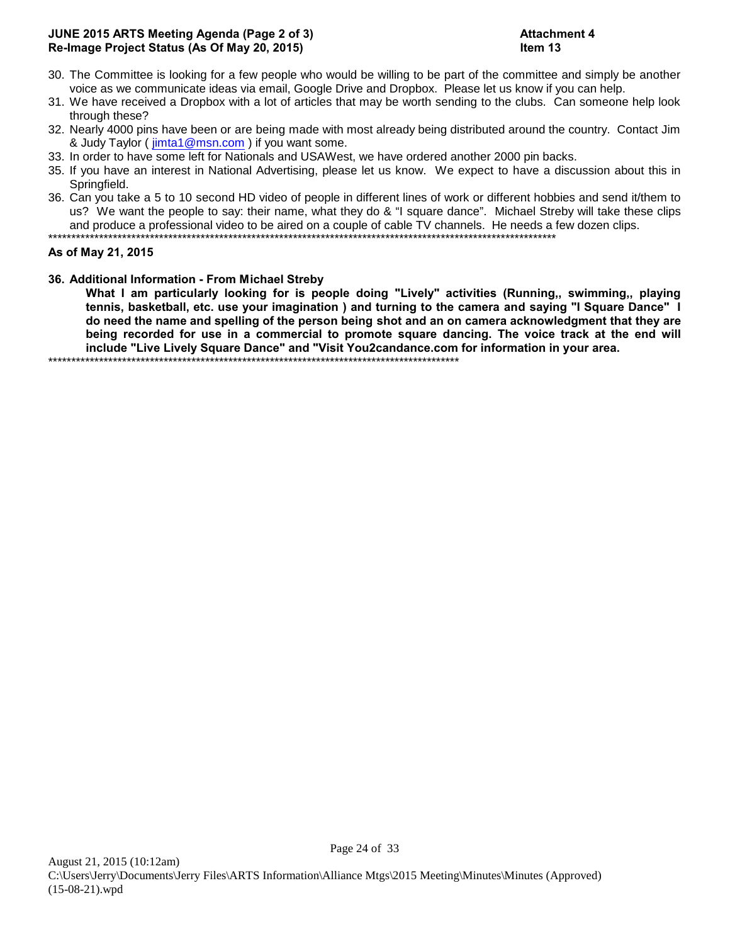# **JUNE 2015 ARTS Meeting Agenda (Page 2 of 3) Attachment 4 Re-Image Project Status (As Of May 20, 2015) Item 13**

- 30. The Committee is looking for a few people who would be willing to be part of the committee and simply be another voice as we communicate ideas via email, Google Drive and Dropbox. Please let us know if you can help.
- 31. We have received a Dropbox with a lot of articles that may be worth sending to the clubs. Can someone help look through these?
- 32. Nearly 4000 pins have been or are being made with most already being distributed around the country. Contact Jim & Judy Taylor ( [jimta1@msn.com](mailto:jimta1@msn.com) ) if you want some.
- 33. In order to have some left for Nationals and USAWest, we have ordered another 2000 pin backs.
- 35. If you have an interest in National Advertising, please let us know. We expect to have a discussion about this in Springfield.
- 36. Can you take a 5 to 10 second HD video of people in different lines of work or different hobbies and send it/them to us? We want the people to say: their name, what they do & "I square dance". Michael Streby will take these clips and produce a professional video to be aired on a couple of cable TV channels. He needs a few dozen clips. \*\*\*\*\*\*\*\*\*\*\*\*\*\*\*\*\*\*\*\*\*\*\*\*\*\*\*\*\*\*\*\*\*\*\*\*\*\*\*\*\*\*\*\*\*\*\*\*\*\*\*\*\*\*\*\*\*\*\*\*\*\*\*\*\*\*\*\*\*\*\*\*\*\*\*\*\*\*\*\*\*\*\*\*\*\*\*\*\*\*\*\*\*\*\*\*\*\*\*\*\*\*\*\*\*\*\*\*\*\*

### **As of May 21, 2015**

**36. Additional Information - From Michael Streby**

**What I am particularly looking for is people doing "Lively" activities (Running,, swimming,, playing tennis, basketball, etc. use your imagination ) and turning to the camera and saying "I Square Dance" I do need the name and spelling of the person being shot and an on camera acknowledgment that they are being recorded for use in a commercial to promote square dancing. The voice track at the end will include "Live Lively Square Dance" and "Visit You2candance.com for information in your area.** \*\*\*\*\*\*\*\*\*\*\*\*\*\*\*\*\*\*\*\*\*\*\*\*\*\*\*\*\*\*\*\*\*\*\*\*\*\*\*\*\*\*\*\*\*\*\*\*\*\*\*\*\*\*\*\*\*\*\*\*\*\*\*\*\*\*\*\*\*\*\*\*\*\*\*\*\*\*\*\*\*\*\*\*\*\*\*\*\*

Page 24 of 33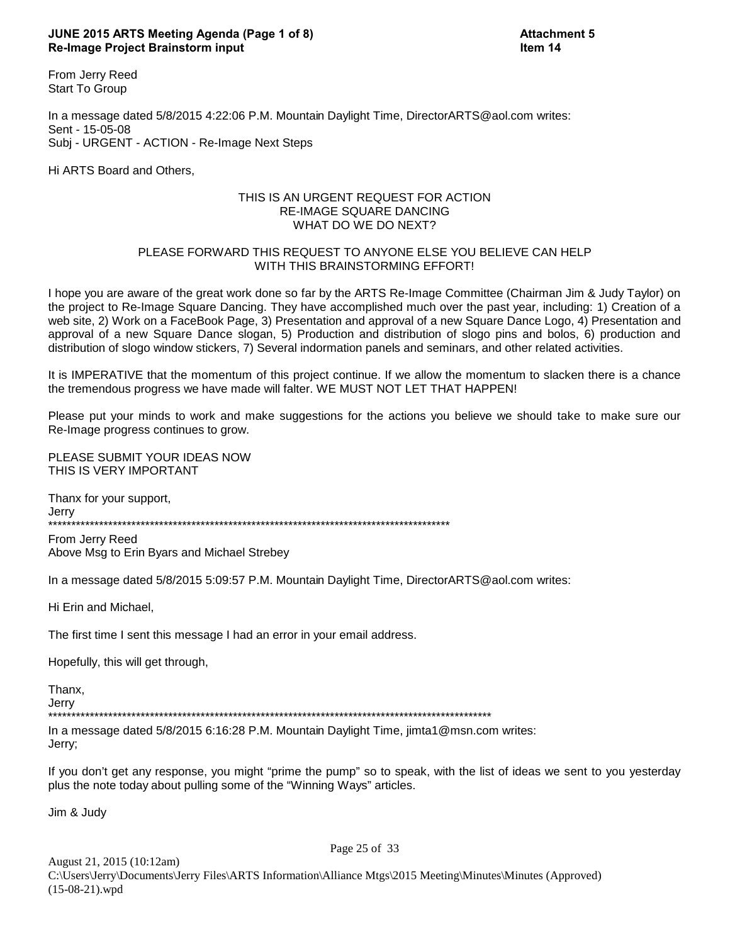### **JUNE 2015 ARTS Meeting Agenda (Page 1 of 8) Attachment 5 Re-Image Project Brainstorm input Item 14**

From Jerry Reed Start To Group

In a message dated 5/8/2015 4:22:06 P.M. Mountain Daylight Time, DirectorARTS@aol.com writes: Sent - 15-05-08 Subj - URGENT - ACTION - Re-Image Next Steps

Hi ARTS Board and Others,

### THIS IS AN URGENT REQUEST FOR ACTION RE-IMAGE SQUARE DANCING WHAT DO WE DO NEXT?

### PLEASE FORWARD THIS REQUEST TO ANYONE ELSE YOU BELIEVE CAN HELP WITH THIS BRAINSTORMING EFFORT!

I hope you are aware of the great work done so far by the ARTS Re-Image Committee (Chairman Jim & Judy Taylor) on the project to Re-Image Square Dancing. They have accomplished much over the past year, including: 1) Creation of a web site, 2) Work on a FaceBook Page, 3) Presentation and approval of a new Square Dance Logo, 4) Presentation and approval of a new Square Dance slogan, 5) Production and distribution of slogo pins and bolos, 6) production and distribution of slogo window stickers, 7) Several indormation panels and seminars, and other related activities.

It is IMPERATIVE that the momentum of this project continue. If we allow the momentum to slacken there is a chance the tremendous progress we have made will falter. WE MUST NOT LET THAT HAPPEN!

Please put your minds to work and make suggestions for the actions you believe we should take to make sure our Re-Image progress continues to grow.

PLEASE SUBMIT YOUR IDEAS NOW THIS IS VERY IMPORTANT

Thanx for your support, Jerry \*\*\*\*\*\*\*\*\*\*\*\*\*\*\*\*\*\*\*\*\*\*\*\*\*\*\*\*\*\*\*\*\*\*\*\*\*\*\*\*\*\*\*\*\*\*\*\*\*\*\*\*\*\*\*\*\*\*\*\*\*\*\*\*\*\*\*\*\*\*\*\*\*\*\*\*\*\*\*\*\*\*\*\*\*\*\*

From Jerry Reed Above Msg to Erin Byars and Michael Strebey

In a message dated 5/8/2015 5:09:57 P.M. Mountain Daylight Time, DirectorARTS@aol.com writes:

Hi Erin and Michael,

The first time I sent this message I had an error in your email address.

Hopefully, this will get through,

Thanx,

Jerry \*\*\*\*\*\*\*\*\*\*\*\*\*\*\*\*\*\*\*\*\*\*\*\*\*\*\*\*\*\*\*\*\*\*\*\*\*\*\*\*\*\*\*\*\*\*\*\*\*\*\*\*\*\*\*\*\*\*\*\*\*\*\*\*\*\*\*\*\*\*\*\*\*\*\*\*\*\*\*\*\*\*\*\*\*\*\*\*\*\*\*\*\*\*\*\*

In a message dated 5/8/2015 6:16:28 P.M. Mountain Daylight Time, jimta1@msn.com writes: Jerry;

If you don't get any response, you might "prime the pump" so to speak, with the list of ideas we sent to you yesterday plus the note today about pulling some of the "Winning Ways" articles.

Jim & Judy

August 21, 2015 (10:12am) C:\Users\Jerry\Documents\Jerry Files\ARTS Information\Alliance Mtgs\2015 Meeting\Minutes\Minutes (Approved) (15-08-21).wpd

Page 25 of 33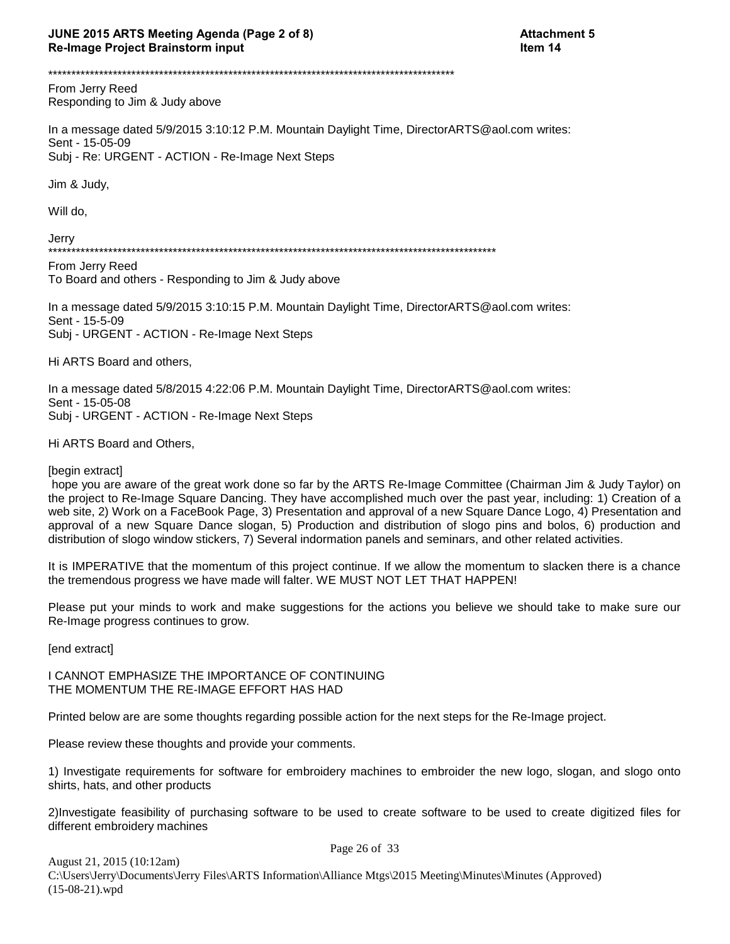From Jerry Reed Responding to Jim & Judy above

In a message dated 5/9/2015 3:10:12 P.M. Mountain Daylight Time, DirectorARTS@aol.com writes: Sent - 15-05-09 Subj - Re: URGENT - ACTION - Re-Image Next Steps

Jim & Judy,

Will do,

Jerry

From Jerry Reed To Board and others - Responding to Jim & Judy above

In a message dated 5/9/2015 3:10:15 P.M. Mountain Daylight Time, DirectorARTS@aol.com writes: Sent - 15-5-09 Subj - URGENT - ACTION - Re-Image Next Steps

Hi ARTS Board and others,

In a message dated 5/8/2015 4:22:06 P.M. Mountain Daylight Time, DirectorARTS@aol.com writes: Sent - 15-05-08 Subj - URGENT - ACTION - Re-Image Next Steps

Hi ARTS Board and Others,

[begin extract]

hope you are aware of the great work done so far by the ARTS Re-Image Committee (Chairman Jim & Judy Taylor) on the project to Re-Image Square Dancing. They have accomplished much over the past year, including: 1) Creation of a web site, 2) Work on a FaceBook Page, 3) Presentation and approval of a new Square Dance Logo, 4) Presentation and approval of a new Square Dance slogan, 5) Production and distribution of slogo pins and bolos, 6) production and distribution of slogo window stickers, 7) Several indormation panels and seminars, and other related activities.

It is IMPERATIVE that the momentum of this project continue. If we allow the momentum to slacken there is a chance the tremendous progress we have made will falter. WE MUST NOT LET THAT HAPPEN!

Please put your minds to work and make suggestions for the actions you believe we should take to make sure our Re-Image progress continues to grow.

[end extract]

I CANNOT EMPHASIZE THE IMPORTANCE OF CONTINUING THE MOMENTUM THE RE-IMAGE EFFORT HAS HAD

Printed below are are some thoughts regarding possible action for the next steps for the Re-Image project.

Please review these thoughts and provide your comments.

1) Investigate requirements for software for embroidery machines to embroider the new logo, slogan, and slogo onto shirts, hats, and other products

2) Investigate feasibility of purchasing software to be used to create software to be used to create digitized files for different embroidery machines

Page 26 of 33 August 21, 2015 (10:12am) C:\Users\Jerry\Documents\Jerry Files\ARTS Information\Alliance Mtgs\2015 Meeting\Minutes\Minutes (Approved)  $(15-08-21)$ .wpd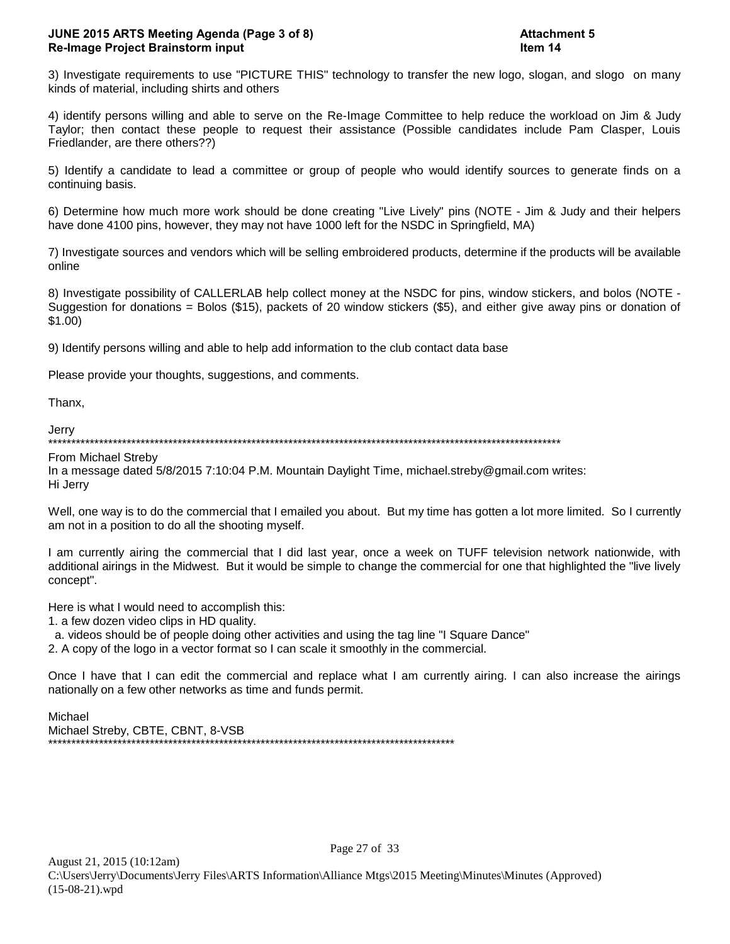3) Investigate requirements to use "PICTURE THIS" technology to transfer the new logo, slogan, and slogo on many kinds of material, including shirts and others

4) identify persons willing and able to serve on the Re-Image Committee to help reduce the workload on Jim & Judy Taylor; then contact these people to request their assistance (Possible candidates include Pam Clasper, Louis Friedlander, are there others??)

5) Identify a candidate to lead a committee or group of people who would identify sources to generate finds on a continuing basis.

6) Determine how much more work should be done creating "Live Lively" pins (NOTE - Jim & Judy and their helpers have done 4100 pins, however, they may not have 1000 left for the NSDC in Springfield, MA)

7) Investigate sources and vendors which will be selling embroidered products, determine if the products will be available online

8) Investigate possibility of CALLERLAB help collect money at the NSDC for pins, window stickers, and bolos (NOTE -Suggestion for donations = Bolos (\$15), packets of 20 window stickers (\$5), and either give away pins or donation of \$1.00)

9) Identify persons willing and able to help add information to the club contact data base

Please provide your thoughts, suggestions, and comments.

Thanx,

Jerry \*\*\*\*\*\*\*\*\*\*\*\*\*\*\*\*\*\*\*\*\*\*\*\*\*\*\*\*\*\*\*\*\*\*\*\*\*\*\*\*\*\*\*\*\*\*\*\*\*\*\*\*\*\*\*\*\*\*\*\*\*\*\*\*\*\*\*\*\*\*\*\*\*\*\*\*\*\*\*\*\*\*\*\*\*\*\*\*\*\*\*\*\*\*\*\*\*\*\*\*\*\*\*\*\*\*\*\*\*\*\*

From Michael Streby

In a message dated 5/8/2015 7:10:04 P.M. Mountain Daylight Time, michael.streby@gmail.com writes: Hi Jerry

Well, one way is to do the commercial that I emailed you about. But my time has gotten a lot more limited. So I currently am not in a position to do all the shooting myself.

I am currently airing the commercial that I did last year, once a week on TUFF television network nationwide, with additional airings in the Midwest. But it would be simple to change the commercial for one that highlighted the "live lively concept".

Here is what I would need to accomplish this:

1. a few dozen video clips in HD quality.

a. videos should be of people doing other activities and using the tag line "I Square Dance"

2. A copy of the logo in a vector format so I can scale it smoothly in the commercial.

Once I have that I can edit the commercial and replace what I am currently airing. I can also increase the airings nationally on a few other networks as time and funds permit.

Michael Michael Streby, CBTE, CBNT, 8-VSB \*\*\*\*\*\*\*\*\*\*\*\*\*\*\*\*\*\*\*\*\*\*\*\*\*\*\*\*\*\*\*\*\*\*\*\*\*\*\*\*\*\*\*\*\*\*\*\*\*\*\*\*\*\*\*\*\*\*\*\*\*\*\*\*\*\*\*\*\*\*\*\*\*\*\*\*\*\*\*\*\*\*\*\*\*\*\*\*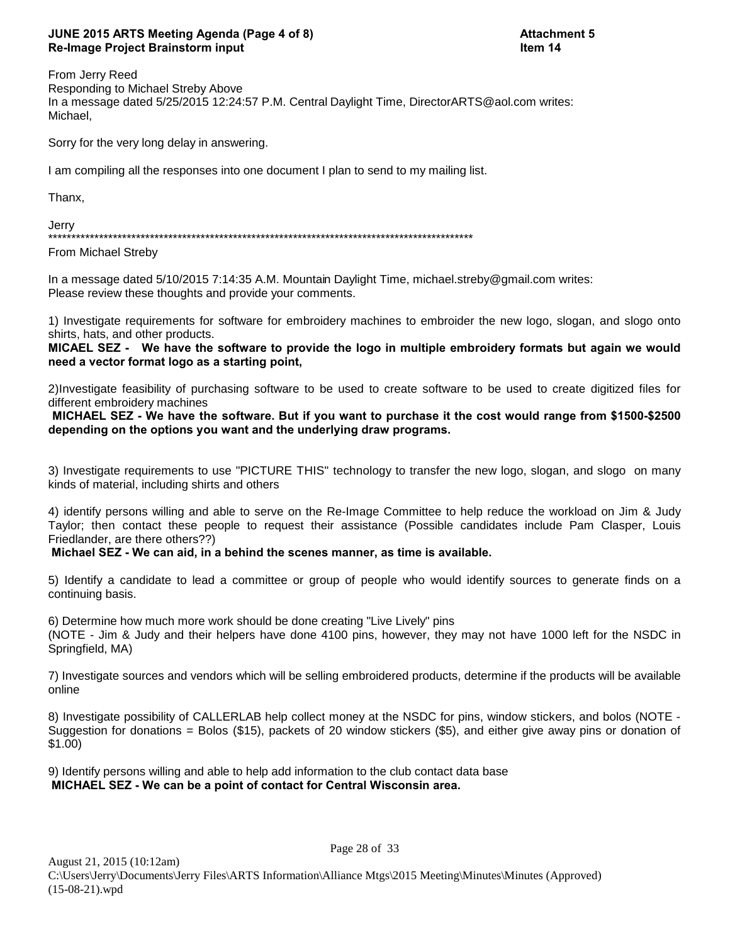# **JUNE 2015 ARTS Meeting Agenda (Page 4 of 8) Attachment 5 Re-Image Project Brainstorm input Integration and Community Community Item 14**

From Jerry Reed Responding to Michael Streby Above In a message dated 5/25/2015 12:24:57 P.M. Central Daylight Time, DirectorARTS@aol.com writes: Michael,

Sorry for the very long delay in answering.

I am compiling all the responses into one document I plan to send to my mailing list.

Thanx,

Jerry \*\*\*\*\*\*\*\*\*\*\*\*\*\*\*\*\*\*\*\*\*\*\*\*\*\*\*\*\*\*\*\*\*\*\*\*\*\*\*\*\*\*\*\*\*\*\*\*\*\*\*\*\*\*\*\*\*\*\*\*\*\*\*\*\*\*\*\*\*\*\*\*\*\*\*\*\*\*\*\*\*\*\*\*\*\*\*\*\*\*\*\*

From Michael Streby

In a message dated 5/10/2015 7:14:35 A.M. Mountain Daylight Time, michael.streby@gmail.com writes: Please review these thoughts and provide your comments.

1) Investigate requirements for software for embroidery machines to embroider the new logo, slogan, and slogo onto shirts, hats, and other products.

**MICAEL SEZ - We have the software to provide the logo in multiple embroidery formats but again we would need a vector format logo as a starting point,**

2)Investigate feasibility of purchasing software to be used to create software to be used to create digitized files for different embroidery machines

 **MICHAEL SEZ - We have the software. But if you want to purchase it the cost would range from \$1500-\$2500 depending on the options you want and the underlying draw programs.**

3) Investigate requirements to use "PICTURE THIS" technology to transfer the new logo, slogan, and slogo on many kinds of material, including shirts and others

4) identify persons willing and able to serve on the Re-Image Committee to help reduce the workload on Jim & Judy Taylor; then contact these people to request their assistance (Possible candidates include Pam Clasper, Louis Friedlander, are there others??)

 **Michael SEZ - We can aid, in a behind the scenes manner, as time is available.**

5) Identify a candidate to lead a committee or group of people who would identify sources to generate finds on a continuing basis.

6) Determine how much more work should be done creating "Live Lively" pins (NOTE - Jim & Judy and their helpers have done 4100 pins, however, they may not have 1000 left for the NSDC in Springfield, MA)

7) Investigate sources and vendors which will be selling embroidered products, determine if the products will be available online

8) Investigate possibility of CALLERLAB help collect money at the NSDC for pins, window stickers, and bolos (NOTE - Suggestion for donations = Bolos (\$15), packets of 20 window stickers (\$5), and either give away pins or donation of \$1.00)

9) Identify persons willing and able to help add information to the club contact data base  **MICHAEL SEZ - We can be a point of contact for Central Wisconsin area.**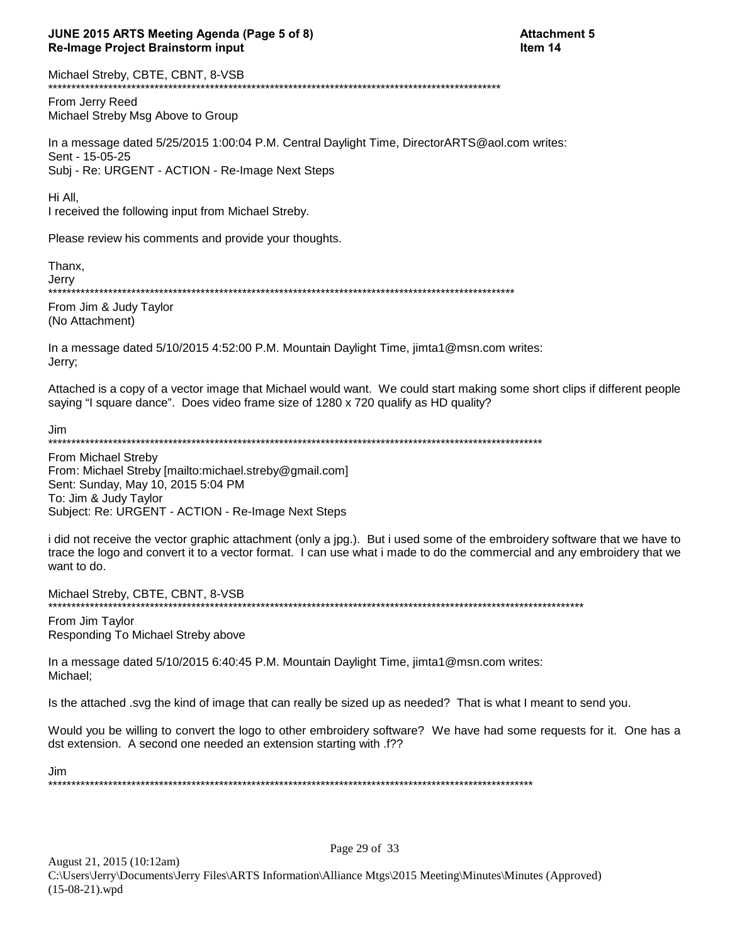# JUNE 2015 ARTS Meeting Agenda (Page 5 of 8) **Re-Image Project Brainstorm input**

Michael Streby, CBTE, CBNT, 8-VSB \*\*\*\*\*\*\*\*\*\*\*\*\*\* \*\*\*\*\*\*\*\*\*\*\*\*\*\*\*\*\*\*\*\*\*\*

From Jerry Reed Michael Streby Msg Above to Group

In a message dated 5/25/2015 1:00:04 P.M. Central Daylight Time, DirectorARTS@aol.com writes: Sent - 15-05-25 Subj - Re: URGENT - ACTION - Re-Image Next Steps

Hi All.

I received the following input from Michael Streby.

Please review his comments and provide your thoughts.

Thanx,

Jerry 

From Jim & Judy Taylor (No Attachment)

In a message dated 5/10/2015 4:52:00 P.M. Mountain Daylight Time, jimta1@msn.com writes: Jerry;

Attached is a copy of a vector image that Michael would want. We could start making some short clips if different people saying "I square dance". Does video frame size of 1280 x 720 qualify as HD quality?

Jim 

From Michael Streby From: Michael Streby [mailto:michael.streby@gmail.com] Sent: Sunday, May 10, 2015 5:04 PM To: Jim & Judy Taylor Subject: Re: URGENT - ACTION - Re-Image Next Steps

i did not receive the vector graphic attachment (only a jpg.). But i used some of the embroidery software that we have to trace the logo and convert it to a vector format. I can use what i made to do the commercial and any embroidery that we want to do.

Michael Streby, CBTE, CBNT, 8-VSB 

From Jim Taylor Responding To Michael Streby above

In a message dated 5/10/2015 6:40:45 P.M. Mountain Daylight Time, jimta1@msn.com writes: Michael;

Is the attached .svg the kind of image that can really be sized up as needed? That is what I meant to send you.

Would you be willing to convert the logo to other embroidery software? We have had some requests for it. One has a dst extension. A second one needed an extension starting with .f??

Jim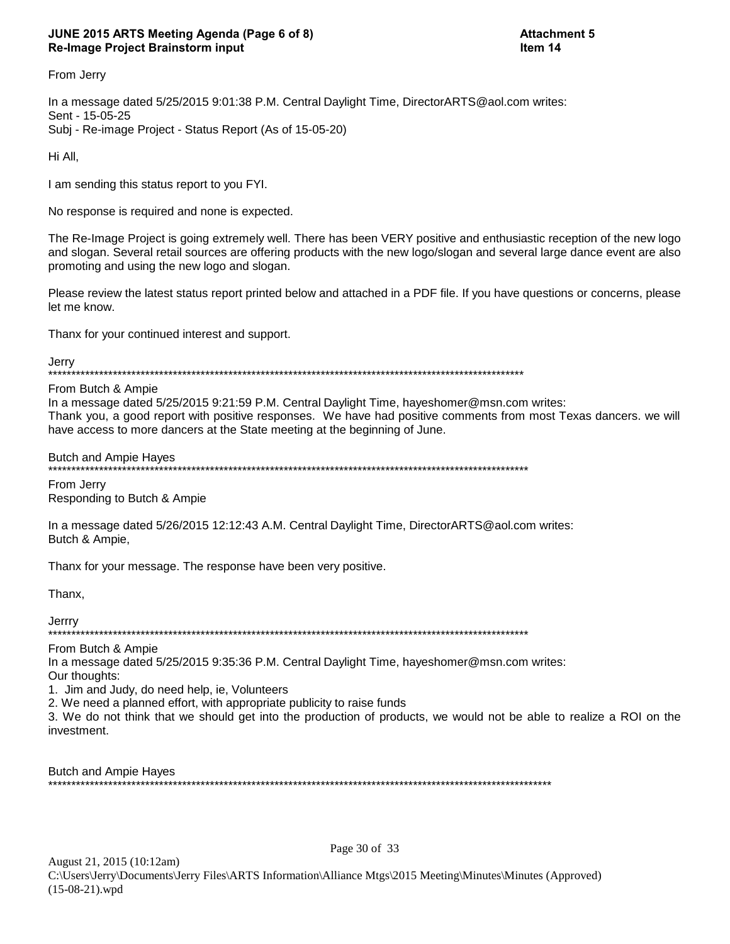# JUNE 2015 ARTS Meeting Agenda (Page 6 of 8) **Re-Image Project Brainstorm input**

From Jerry

In a message dated 5/25/2015 9:01:38 P.M. Central Daylight Time, DirectorARTS@aol.com writes: Sent - 15-05-25 Subj - Re-image Project - Status Report (As of 15-05-20)

Hi All,

I am sending this status report to you FYI.

No response is required and none is expected.

The Re-Image Project is going extremely well. There has been VERY positive and enthusiastic reception of the new logo and slogan. Several retail sources are offering products with the new logo/slogan and several large dance event are also promoting and using the new logo and slogan.

Please review the latest status report printed below and attached in a PDF file. If you have questions or concerns, please let me know.

Thanx for your continued interest and support.

Jerry

From Butch & Ampie

In a message dated 5/25/2015 9:21:59 P.M. Central Daylight Time, hayeshomer@msn.com writes: Thank you, a good report with positive responses. We have had positive comments from most Texas dancers. we will have access to more dancers at the State meeting at the beginning of June.

**Butch and Ampie Hayes** 

From Jerry Responding to Butch & Ampie

In a message dated 5/26/2015 12:12:43 A.M. Central Daylight Time, DirectorARTS@aol.com writes: Butch & Ampie,

Thanx for your message. The response have been very positive.

Thanx,

Jerrry 

From Butch & Ampie

In a message dated 5/25/2015 9:35:36 P.M. Central Daylight Time, hayeshomer@msn.com writes: Our thoughts:

1. Jim and Judy, do need help, ie, Volunteers

2. We need a planned effort, with appropriate publicity to raise funds

3. We do not think that we should get into the production of products, we would not be able to realize a ROI on the investment.

Page 30 of 33

**Butch and Ampie Hayes** \*\*\*\*\*\*\*\*\*\*\*\*\*\*\*\*\*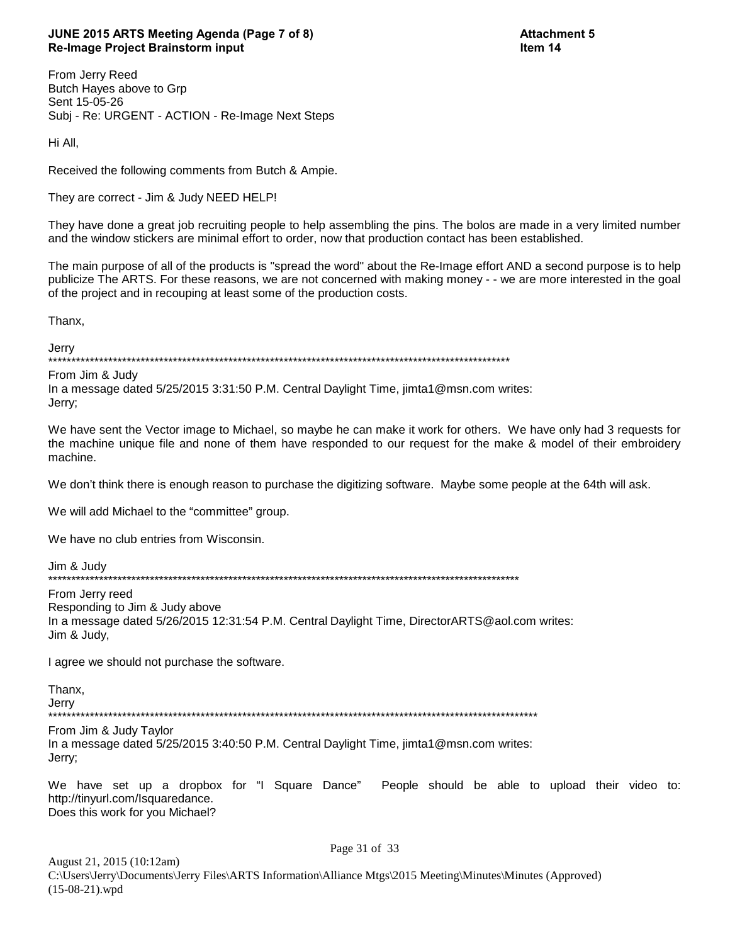# JUNE 2015 ARTS Meeting Agenda (Page 7 of 8) **Re-Image Project Brainstorm input**

**Attachment 5** Item 14

From Jerry Reed Butch Hayes above to Grp Sent 15-05-26 Subj - Re: URGENT - ACTION - Re-Image Next Steps

Hi All,

Received the following comments from Butch & Ampie.

They are correct - Jim & Judy NEED HELP!

They have done a great job recruiting people to help assembling the pins. The bolos are made in a very limited number and the window stickers are minimal effort to order, now that production contact has been established.

The main purpose of all of the products is "spread the word" about the Re-Image effort AND a second purpose is to help publicize The ARTS. For these reasons, we are not concerned with making money - - we are more interested in the goal of the project and in recouping at least some of the production costs.

Thanx,

Jerry 

From Jim & Judy In a message dated 5/25/2015 3:31:50 P.M. Central Daylight Time, jimta1@msn.com writes: Jerry;

We have sent the Vector image to Michael, so maybe he can make it work for others. We have only had 3 requests for the machine unique file and none of them have responded to our request for the make & model of their embroidery machine.

We don't think there is enough reason to purchase the digitizing software. Maybe some people at the 64th will ask.

We will add Michael to the "committee" group.

We have no club entries from Wisconsin.

Jim & Judy \*\*\*\*\*\*\*\*\*\*\*\*\*\*

From Jerry reed Responding to Jim & Judy above In a message dated 5/26/2015 12:31:54 P.M. Central Daylight Time, DirectorARTS@aol.com writes: Jim & Judy,

I agree we should not purchase the software.

Thanx, Jerry 

From Jim & Judy Taylor In a message dated 5/25/2015 3:40:50 P.M. Central Daylight Time, jimta1@msn.com writes: Jerry:

We have set up a dropbox for "I Square Dance" People should be able to upload their video to: http://tinyurl.com/Isquaredance. Does this work for you Michael?

Page 31 of 33 August 21, 2015 (10:12am) C:\Users\Jerry\Documents\Jerry Files\ARTS Information\Alliance Mtgs\2015 Meeting\Minutes\Minutes (Approved)  $(15-08-21)$ .wpd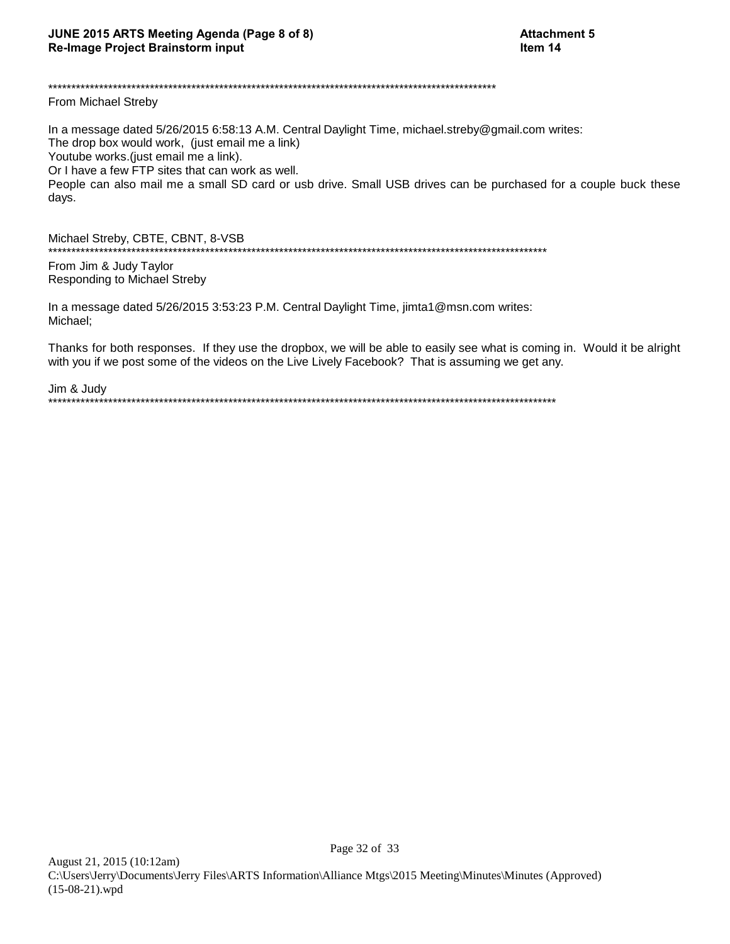### From Michael Streby

In a message dated 5/26/2015 6:58:13 A.M. Central Daylight Time, michael.streby@gmail.com writes: The drop box would work, (just email me a link) Youtube works.(just email me a link). Or I have a few FTP sites that can work as well. People can also mail me a small SD card or usb drive. Small USB drives can be purchased for a couple buck these days.

Michael Streby, CBTE, CBNT, 8-VSB 

From Jim & Judy Taylor Responding to Michael Streby

In a message dated 5/26/2015 3:53:23 P.M. Central Daylight Time, jimta1@msn.com writes: Michael:

Thanks for both responses. If they use the dropbox, we will be able to easily see what is coming in. Would it be alright with you if we post some of the videos on the Live Lively Facebook? That is assuming we get any.

Jim & Judy 

Page 32 of 33